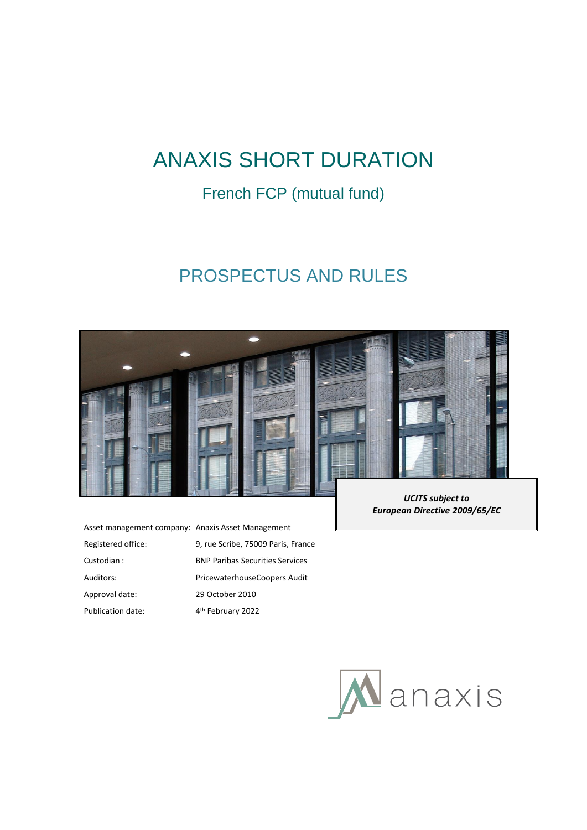# ANAXIS SHORT DURATION

## French FCP (mutual fund)

# PROSPECTUS AND RULES



Asset management company: Anaxis Asset Management Registered office: 9, rue Scribe, 75009 Paris, France Custodian : BNP Paribas Securities Services Auditors: PricewaterhouseCoopers Audit Approval date: 29 October 2010 Publication date: 4<sup>th</sup> February 2022

*UCITS subject to European Directive 2009/65/EC*

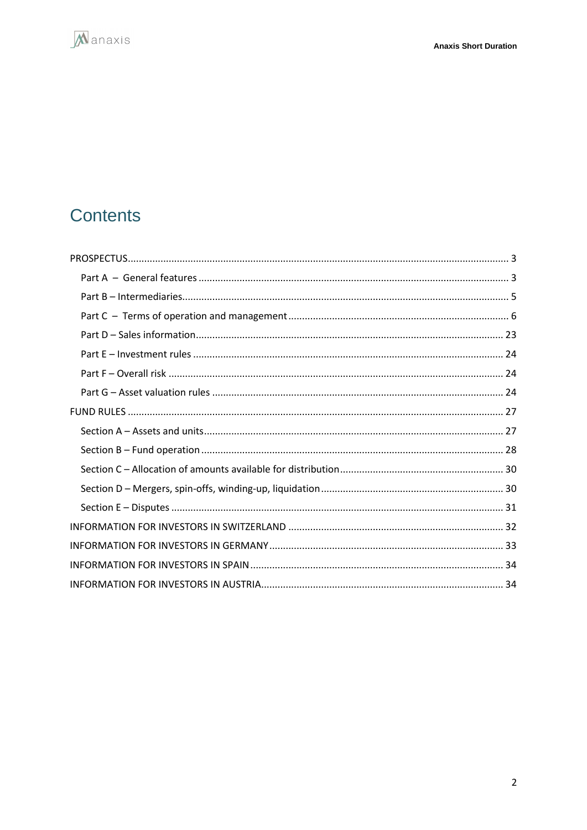

# Contents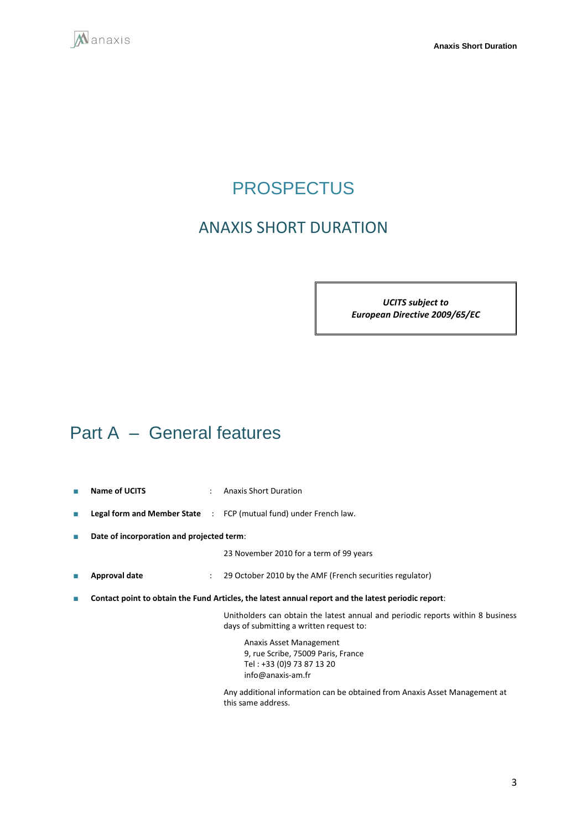<span id="page-2-0"></span>

# **PROSPECTUS**

## ANAXIS SHORT DURATION

*UCITS subject to European Directive 2009/65/EC*

# <span id="page-2-1"></span>Part A – General features

- **Name of UCITS** : Anaxis Short Duration
- **Legal form and Member State** : FCP (mutual fund) under French law.
- **Date of incorporation and projected term**:

23 November 2010 for a term of 99 years

- **Approval date** : 29 October 2010 by the AMF (French securities regulator)
- **Contact point to obtain the Fund Articles, the latest annual report and the latest periodic report**:

Unitholders can obtain the latest annual and periodic reports within 8 business days of submitting a written request to:

Anaxis Asset Management 9, rue Scribe, 75009 Paris, France Tel : +33 (0)9 73 87 13 20 info@anaxis-am.fr

Any additional information can be obtained from Anaxis Asset Management at this same address.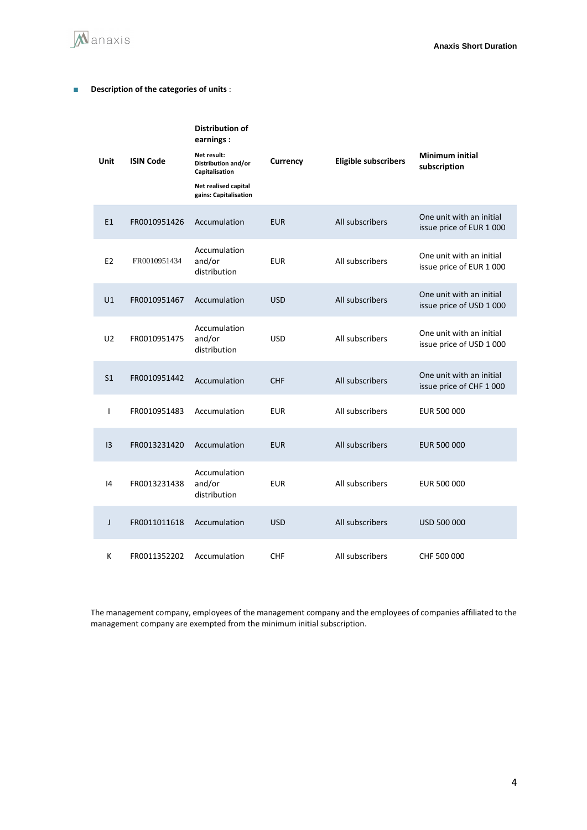

### ■ **Description of the categories of units** :

|                |                                                        | Distribution of<br>earnings:<br>Net result:   |                 |                                                      | <b>Minimum initial</b>                               |
|----------------|--------------------------------------------------------|-----------------------------------------------|-----------------|------------------------------------------------------|------------------------------------------------------|
| Unit           | <b>ISIN Code</b>                                       | Distribution and/or<br>Capitalisation         | Currency        | <b>Eligible subscribers</b>                          | subscription                                         |
|                |                                                        | Net realised capital<br>gains: Capitalisation |                 |                                                      |                                                      |
| E1             | FR0010951426                                           | Accumulation                                  | <b>EUR</b>      | All subscribers                                      | One unit with an initial<br>issue price of EUR 1000  |
| E <sub>2</sub> | FR0010951434                                           | Accumulation<br>and/or<br>distribution        | <b>EUR</b>      | All subscribers                                      | One unit with an initial<br>issue price of EUR 1 000 |
| U1             | FR0010951467                                           | Accumulation                                  | <b>USD</b>      | All subscribers                                      | One unit with an initial<br>issue price of USD 1 000 |
| U <sub>2</sub> | Accumulation<br>and/or<br>FR0010951475<br>distribution | <b>USD</b>                                    | All subscribers | One unit with an initial<br>issue price of USD 1 000 |                                                      |
| S <sub>1</sub> | FR0010951442                                           | Accumulation                                  | <b>CHF</b>      | All subscribers                                      | One unit with an initial<br>issue price of CHF 1000  |
| $\mathbf{I}$   | FR0010951483                                           | Accumulation                                  | <b>EUR</b>      | All subscribers                                      | EUR 500 000                                          |
| 13             | FR0013231420                                           | Accumulation                                  | <b>EUR</b>      | All subscribers                                      | EUR 500 000                                          |
| 4              | FR0013231438                                           | Accumulation<br>and/or<br>distribution        | <b>EUR</b>      | All subscribers                                      | EUR 500 000                                          |
| J              | FR0011011618                                           | Accumulation                                  | <b>USD</b>      | All subscribers                                      | USD 500 000                                          |
| K              | FR0011352202                                           | Accumulation                                  | <b>CHF</b>      | All subscribers                                      | CHF 500 000                                          |

The management company, employees of the management company and the employees of companies affiliated to the management company are exempted from the minimum initial subscription.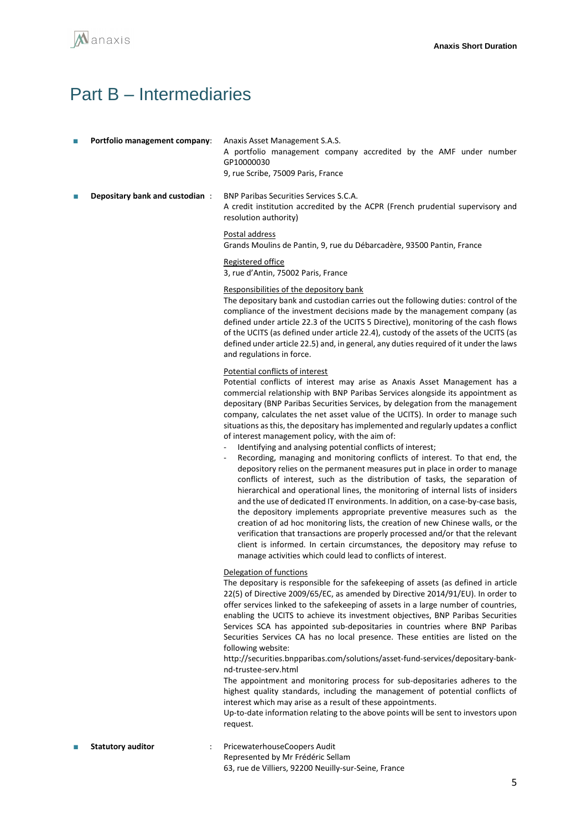

## <span id="page-4-0"></span>Part B – Intermediaries

- **Portfolio management company:** Anaxis Asset Management S.A.S. A portfolio management company accredited by the AMF under number GP10000030 9, rue Scribe, 75009 Paris, France
- **Depositary bank and custodian : BNP Paribas Securities Services S.C.A.** A credit institution accredited by the ACPR (French prudential supervisory and resolution authority)

#### Postal address

Grands Moulins de Pantin, 9, rue du Débarcadère, 93500 Pantin, France

#### Registered office

3, rue d'Antin, 75002 Paris, France

#### Responsibilities of the depository bank

The depositary bank and custodian carries out the following duties: control of the compliance of the investment decisions made by the management company (as defined under article 22.3 of the UCITS 5 Directive), monitoring of the cash flows of the UCITS (as defined under article 22.4), custody of the assets of the UCITS (as defined under article 22.5) and, in general, any duties required of it under the laws and regulations in force.

#### Potential conflicts of interest

Potential conflicts of interest may arise as Anaxis Asset Management has a commercial relationship with BNP Paribas Services alongside its appointment as depositary (BNP Paribas Securities Services, by delegation from the management company, calculates the net asset value of the UCITS). In order to manage such situations as this, the depositary has implemented and regularly updates a conflict of interest management policy, with the aim of:

- Identifying and analysing potential conflicts of interest;
- Recording, managing and monitoring conflicts of interest. To that end, the depository relies on the permanent measures put in place in order to manage conflicts of interest, such as the distribution of tasks, the separation of hierarchical and operational lines, the monitoring of internal lists of insiders and the use of dedicated IT environments. In addition, on a case-by-case basis, the depository implements appropriate preventive measures such as the creation of ad hoc monitoring lists, the creation of new Chinese walls, or the verification that transactions are properly processed and/or that the relevant client is informed. In certain circumstances, the depository may refuse to manage activities which could lead to conflicts of interest.

#### Delegation of functions

The depositary is responsible for the safekeeping of assets (as defined in article 22(5) of Directive 2009/65/EC, as amended by Directive 2014/91/EU). In order to offer services linked to the safekeeping of assets in a large number of countries, enabling the UCITS to achieve its investment objectives, BNP Paribas Securities Services SCA has appointed sub-depositaries in countries where BNP Paribas Securities Services CA has no local presence. These entities are listed on the following website:

http://securities.bnpparibas.com/solutions/asset-fund-services/depositary-banknd-trustee-serv.html

The appointment and monitoring process for sub-depositaries adheres to the highest quality standards, including the management of potential conflicts of interest which may arise as a result of these appointments.

Up-to-date information relating to the above points will be sent to investors upon request.

**Statutory auditor** : PricewaterhouseCoopers Audit Represented by Mr Frédéric Sellam

63, rue de Villiers, 92200 Neuilly-sur-Seine, France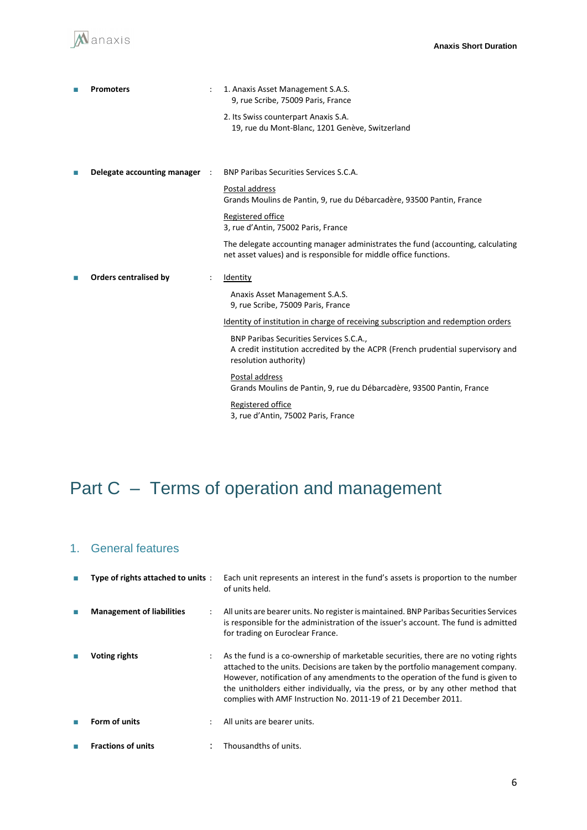

|    | <b>Promoters</b>              | 1. Anaxis Asset Management S.A.S.<br>9, rue Scribe, 75009 Paris, France                                                                              |
|----|-------------------------------|------------------------------------------------------------------------------------------------------------------------------------------------------|
|    |                               | 2. Its Swiss counterpart Anaxis S.A.<br>19, rue du Mont-Blanc, 1201 Genève, Switzerland                                                              |
|    |                               |                                                                                                                                                      |
| T. | Delegate accounting manager : | <b>BNP Paribas Securities Services S.C.A.</b>                                                                                                        |
|    |                               | Postal address<br>Grands Moulins de Pantin, 9, rue du Débarcadère, 93500 Pantin, France                                                              |
|    |                               | Registered office<br>3, rue d'Antin, 75002 Paris, France                                                                                             |
|    |                               | The delegate accounting manager administrates the fund (accounting, calculating<br>net asset values) and is responsible for middle office functions. |
|    | <b>Orders centralised by</b>  | Identity                                                                                                                                             |
|    |                               | Anaxis Asset Management S.A.S.<br>9, rue Scribe, 75009 Paris, France                                                                                 |
|    |                               | Identity of institution in charge of receiving subscription and redemption orders                                                                    |
|    |                               | BNP Paribas Securities Services S.C.A.,<br>A credit institution accredited by the ACPR (French prudential supervisory and<br>resolution authority)   |
|    |                               | Postal address<br>Grands Moulins de Pantin, 9, rue du Débarcadère, 93500 Pantin, France                                                              |
|    |                               | Registered office<br>3, rue d'Antin, 75002 Paris, France                                                                                             |

# <span id="page-5-0"></span>Part C – Terms of operation and management

## 1. General features

| Type of rights attached to units: |                      | Each unit represents an interest in the fund's assets is proportion to the number<br>of units held.                                                                                                                                                                                                                                                                                                            |
|-----------------------------------|----------------------|----------------------------------------------------------------------------------------------------------------------------------------------------------------------------------------------------------------------------------------------------------------------------------------------------------------------------------------------------------------------------------------------------------------|
| <b>Management of liabilities</b>  |                      | All units are bearer units. No register is maintained. BNP Paribas Securities Services<br>is responsible for the administration of the issuer's account. The fund is admitted<br>for trading on Euroclear France.                                                                                                                                                                                              |
| <b>Voting rights</b>              |                      | As the fund is a co-ownership of marketable securities, there are no voting rights<br>attached to the units. Decisions are taken by the portfolio management company.<br>However, notification of any amendments to the operation of the fund is given to<br>the unitholders either individually, via the press, or by any other method that<br>complies with AMF Instruction No. 2011-19 of 21 December 2011. |
| Form of units                     | $\ddot{\phantom{0}}$ | All units are bearer units.                                                                                                                                                                                                                                                                                                                                                                                    |
| <b>Fractions of units</b>         |                      | Thousandths of units.                                                                                                                                                                                                                                                                                                                                                                                          |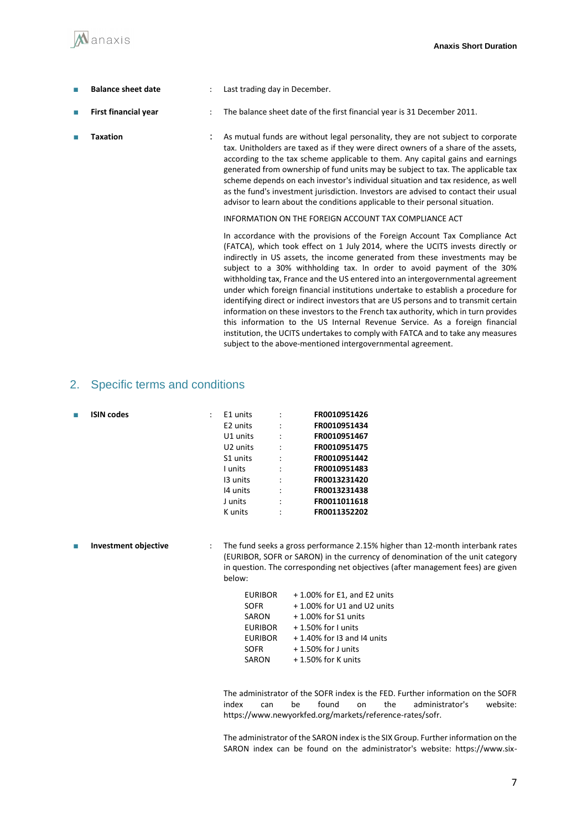■ **Balance sheet date** : Last trading day in December. ■ **First financial year** : The balance sheet date of the first financial year is 31 December 2011. ■ **Taxation Examedia in the Constant of Assemble in the State of the State of Taxation Component Constant Constant Constant Constant Constant Constant Constant Constant Constant Constant Constant Constant Constant Con** tax. Unitholders are taxed as if they were direct owners of a share of the assets, according to the tax scheme applicable to them. Any capital gains and earnings generated from ownership of fund units may be subject to tax. The applicable tax scheme depends on each investor's individual situation and tax residence, as well as the fund's investment jurisdiction. Investors are advised to contact their usual advisor to learn about the conditions applicable to their personal situation. INFORMATION ON THE FOREIGN ACCOUNT TAX COMPLIANCE ACT

> In accordance with the provisions of the Foreign Account Tax Compliance Act (FATCA), which took effect on 1 July 2014, where the UCITS invests directly or indirectly in US assets, the income generated from these investments may be subject to a 30% withholding tax. In order to avoid payment of the 30% withholding tax, France and the US entered into an intergovernmental agreement under which foreign financial institutions undertake to establish a procedure for identifying direct or indirect investors that are US persons and to transmit certain information on these investors to the French tax authority, which in turn provides this information to the US Internal Revenue Service. As a foreign financial institution, the UCITS undertakes to comply with FATCA and to take any measures subject to the above-mentioned intergovernmental agreement.

## 2. Specific terms and conditions

|  | E1 units             |                | FR0010951426 |
|--|----------------------|----------------|--------------|
|  | E <sub>2</sub> units |                | FR0010951434 |
|  | U1 units             | $\ddot{\cdot}$ | FR0010951467 |
|  | U <sub>2</sub> units | $\ddot{\cdot}$ | FR0010951475 |
|  | S1 units             | $\ddot{\cdot}$ | FR0010951442 |
|  | I units              | $\ddot{\cdot}$ | FR0010951483 |
|  | 13 units             | $\ddot{\cdot}$ | FR0013231420 |
|  | 14 units             | $\ddot{\cdot}$ | FR0013231438 |
|  | J units              | $\ddot{\cdot}$ | FR0011011618 |
|  | K units              | $\ddot{\cdot}$ | FR0011352202 |
|  |                      |                |              |

■ **ISIN** codes

Manaxis

■ **Investment objective** : The fund seeks a gross performance 2.15% higher than 12-month interbank rates (EURIBOR, SOFR or SARON) in the currency of denomination of the unit category in question. The corresponding net objectives (after management fees) are given below:

| <b>EURIBOR</b> | + 1.00% for E1, and E2 units  |
|----------------|-------------------------------|
| <b>SOFR</b>    | +1.00% for U1 and U2 units    |
| SARON          | + 1.00% for S1 units          |
| <b>EURIBOR</b> | $+1.50\%$ for I units         |
| <b>EURIBOR</b> | $+1.40\%$ for I3 and I4 units |
| <b>SOFR</b>    | $+1.50\%$ for J units         |
| SARON          | + 1.50% for K units           |

The administrator of the SOFR index is the FED. Further information on the SOFR index can be found on the administrator's website: https://www.newyorkfed.org/markets/reference-rates/sofr.

The administrator of the SARON index is the SIX Group. Further information on the SARON index can be found on the administrator's website: https://www.six-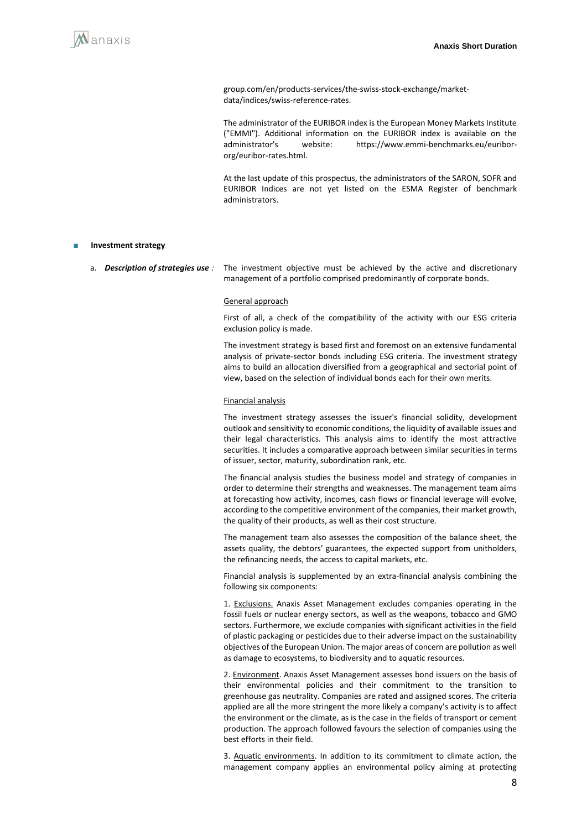

group.com/en/products-services/the-swiss-stock-exchange/marketdata/indices/swiss-reference-rates.

 The administrator of the EURIBOR index is the European Money Markets Institute ("EMMI"). Additional information on the EURIBOR index is available on the administrator's website: https://www.emmi-benchmarks.eu/euribororg/euribor-rates.html.

 At the last update of this prospectus, the administrators of the SARON, SOFR and EURIBOR Indices are not yet listed on the ESMA Register of benchmark administrators.

#### **Investment strategy**

a. *Description of strategies use :* The investment objective must be achieved by the active and discretionary management of a portfolio comprised predominantly of corporate bonds.

#### General approach

First of all, a check of the compatibility of the activity with our ESG criteria exclusion policy is made.

The investment strategy is based first and foremost on an extensive fundamental analysis of private-sector bonds including ESG criteria. The investment strategy aims to build an allocation diversified from a geographical and sectorial point of view, based on the selection of individual bonds each for their own merits.

#### Financial analysis

The investment strategy assesses the issuer's financial solidity, development outlook and sensitivity to economic conditions, the liquidity of available issues and their legal characteristics. This analysis aims to identify the most attractive securities. It includes a comparative approach between similar securities in terms of issuer, sector, maturity, subordination rank, etc.

The financial analysis studies the business model and strategy of companies in order to determine their strengths and weaknesses. The management team aims at forecasting how activity, incomes, cash flows or financial leverage will evolve, according to the competitive environment of the companies, their market growth, the quality of their products, as well as their cost structure.

The management team also assesses the composition of the balance sheet, the assets quality, the debtors' guarantees, the expected support from unitholders, the refinancing needs, the access to capital markets, etc.

Financial analysis is supplemented by an extra-financial analysis combining the following six components:

1. Exclusions. Anaxis Asset Management excludes companies operating in the fossil fuels or nuclear energy sectors, as well as the weapons, tobacco and GMO sectors. Furthermore, we exclude companies with significant activities in the field of plastic packaging or pesticides due to their adverse impact on the sustainability objectives of the European Union. The major areas of concern are pollution as well as damage to ecosystems, to biodiversity and to aquatic resources.

2. Environment. Anaxis Asset Management assesses bond issuers on the basis of their environmental policies and their commitment to the transition to greenhouse gas neutrality. Companies are rated and assigned scores. The criteria applied are all the more stringent the more likely a company's activity is to affect the environment or the climate, as is the case in the fields of transport or cement production. The approach followed favours the selection of companies using the best efforts in their field.

3. Aquatic environments. In addition to its commitment to climate action, the management company applies an environmental policy aiming at protecting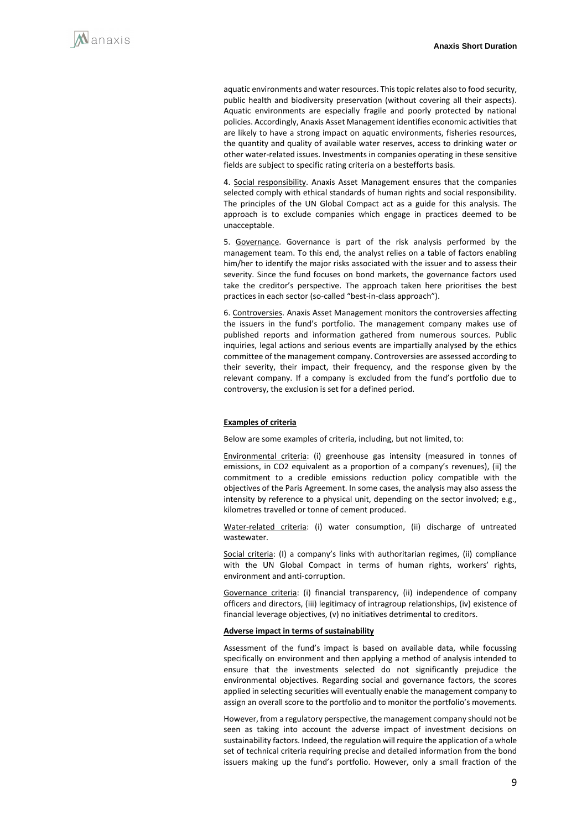aquatic environments and water resources. This topic relates also to food security, public health and biodiversity preservation (without covering all their aspects). Aquatic environments are especially fragile and poorly protected by national policies. Accordingly, Anaxis Asset Management identifies economic activities that are likely to have a strong impact on aquatic environments, fisheries resources, the quantity and quality of available water reserves, access to drinking water or other water-related issues. Investments in companies operating in these sensitive fields are subject to specific rating criteria on a bestefforts basis.

4. Social responsibility. Anaxis Asset Management ensures that the companies selected comply with ethical standards of human rights and social responsibility. The principles of the UN Global Compact act as a guide for this analysis. The approach is to exclude companies which engage in practices deemed to be unacceptable.

5. Governance. Governance is part of the risk analysis performed by the management team. To this end, the analyst relies on a table of factors enabling him/her to identify the major risks associated with the issuer and to assess their severity. Since the fund focuses on bond markets, the governance factors used take the creditor's perspective. The approach taken here prioritises the best practices in each sector (so-called "best-in-class approach").

6. Controversies. Anaxis Asset Management monitors the controversies affecting the issuers in the fund's portfolio. The management company makes use of published reports and information gathered from numerous sources. Public inquiries, legal actions and serious events are impartially analysed by the ethics committee of the management company. Controversies are assessed according to their severity, their impact, their frequency, and the response given by the relevant company. If a company is excluded from the fund's portfolio due to controversy, the exclusion is set for a defined period.

#### **Examples of criteria**

Below are some examples of criteria, including, but not limited, to:

Environmental criteria: (i) greenhouse gas intensity (measured in tonnes of emissions, in CO2 equivalent as a proportion of a company's revenues), (ii) the commitment to a credible emissions reduction policy compatible with the objectives of the Paris Agreement. In some cases, the analysis may also assess the intensity by reference to a physical unit, depending on the sector involved; e.g., kilometres travelled or tonne of cement produced.

Water-related criteria: (i) water consumption, (ii) discharge of untreated wastewater.

Social criteria: (I) a company's links with authoritarian regimes, (ii) compliance with the UN Global Compact in terms of human rights, workers' rights, environment and anti-corruption.

Governance criteria: (i) financial transparency, (ii) independence of company officers and directors, (iii) legitimacy of intragroup relationships, (iv) existence of financial leverage objectives, (v) no initiatives detrimental to creditors.

#### **Adverse impact in terms of sustainability**

Assessment of the fund's impact is based on available data, while focussing specifically on environment and then applying a method of analysis intended to ensure that the investments selected do not significantly prejudice the environmental objectives. Regarding social and governance factors, the scores applied in selecting securities will eventually enable the management company to assign an overall score to the portfolio and to monitor the portfolio's movements.

However, from a regulatory perspective, the management company should not be seen as taking into account the adverse impact of investment decisions on sustainability factors. Indeed, the regulation will require the application of a whole set of technical criteria requiring precise and detailed information from the bond issuers making up the fund's portfolio. However, only a small fraction of the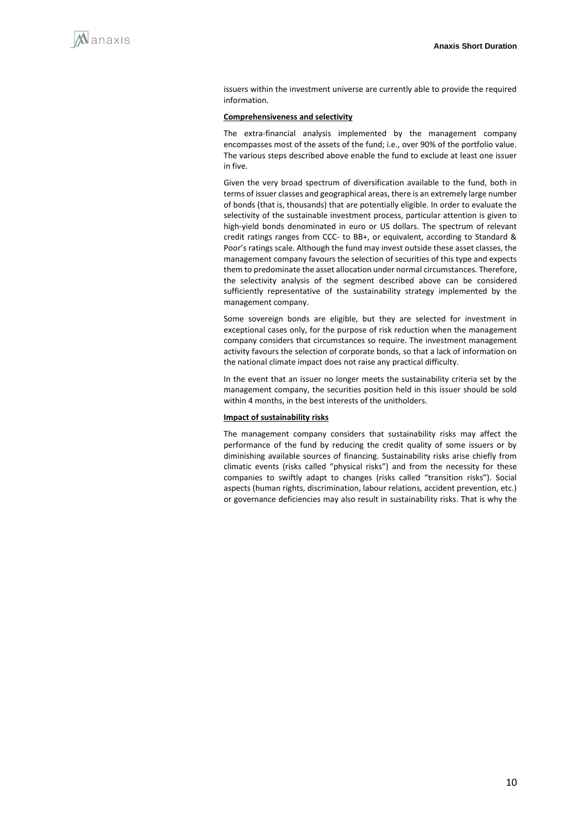issuers within the investment universe are currently able to provide the required information.

#### **Comprehensiveness and selectivity**

The extra-financial analysis implemented by the management company encompasses most of the assets of the fund; i.e., over 90% of the portfolio value. The various steps described above enable the fund to exclude at least one issuer in five.

Given the very broad spectrum of diversification available to the fund, both in terms of issuer classes and geographical areas, there is an extremely large number of bonds (that is, thousands) that are potentially eligible. In order to evaluate the selectivity of the sustainable investment process, particular attention is given to high-yield bonds denominated in euro or US dollars. The spectrum of relevant credit ratings ranges from CCC- to BB+, or equivalent, according to Standard & Poor's ratings scale. Although the fund may invest outside these asset classes, the management company favours the selection of securities of this type and expects them to predominate the asset allocation under normal circumstances. Therefore, the selectivity analysis of the segment described above can be considered sufficiently representative of the sustainability strategy implemented by the management company.

Some sovereign bonds are eligible, but they are selected for investment in exceptional cases only, for the purpose of risk reduction when the management company considers that circumstances so require. The investment management activity favours the selection of corporate bonds, so that a lack of information on the national climate impact does not raise any practical difficulty.

In the event that an issuer no longer meets the sustainability criteria set by the management company, the securities position held in this issuer should be sold within 4 months, in the best interests of the unitholders.

#### **Impact of sustainability risks**

The management company considers that sustainability risks may affect the performance of the fund by reducing the credit quality of some issuers or by diminishing available sources of financing. Sustainability risks arise chiefly from climatic events (risks called "physical risks") and from the necessity for these companies to swiftly adapt to changes (risks called "transition risks"). Social aspects (human rights, discrimination, labour relations, accident prevention, etc.) or governance deficiencies may also result in sustainability risks. That is why the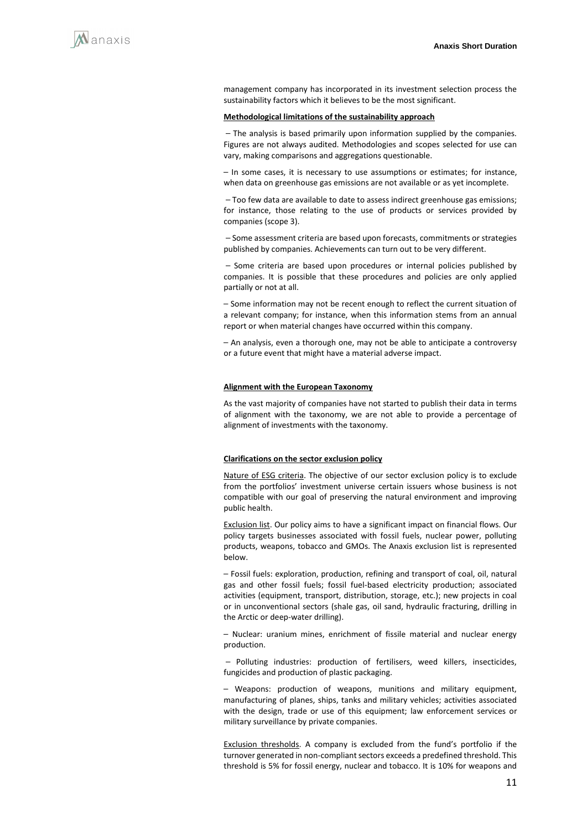management company has incorporated in its investment selection process the sustainability factors which it believes to be the most significant.

#### **Methodological limitations of the sustainability approach**

- The analysis is based primarily upon information supplied by the companies. Figures are not always audited. Methodologies and scopes selected for use can vary, making comparisons and aggregations questionable.

- In some cases, it is necessary to use assumptions or estimates; for instance, when data on greenhouse gas emissions are not available or as yet incomplete.

- Too few data are available to date to assess indirect greenhouse gas emissions; for instance, those relating to the use of products or services provided by companies (scope 3).

- Some assessment criteria are based upon forecasts, commitments or strategies published by companies. Achievements can turn out to be very different.

⎯ Some criteria are based upon procedures or internal policies published by companies. It is possible that these procedures and policies are only applied partially or not at all.

- Some information may not be recent enough to reflect the current situation of a relevant company; for instance, when this information stems from an annual report or when material changes have occurred within this company.

- An analysis, even a thorough one, may not be able to anticipate a controversy or a future event that might have a material adverse impact.

#### **Alignment with the European Taxonomy**

As the vast majority of companies have not started to publish their data in terms of alignment with the taxonomy, we are not able to provide a percentage of alignment of investments with the taxonomy.

#### **Clarifications on the sector exclusion policy**

Nature of ESG criteria. The objective of our sector exclusion policy is to exclude from the portfolios' investment universe certain issuers whose business is not compatible with our goal of preserving the natural environment and improving public health.

Exclusion list. Our policy aims to have a significant impact on financial flows. Our policy targets businesses associated with fossil fuels, nuclear power, polluting products, weapons, tobacco and GMOs. The Anaxis exclusion list is represented below.

- Fossil fuels: exploration, production, refining and transport of coal, oil, natural gas and other fossil fuels; fossil fuel-based electricity production; associated activities (equipment, transport, distribution, storage, etc.); new projects in coal or in unconventional sectors (shale gas, oil sand, hydraulic fracturing, drilling in the Arctic or deep-water drilling).

- Nuclear: uranium mines, enrichment of fissile material and nuclear energy production.

- Polluting industries: production of fertilisers, weed killers, insecticides, fungicides and production of plastic packaging.

⎯ Weapons: production of weapons, munitions and military equipment, manufacturing of planes, ships, tanks and military vehicles; activities associated with the design, trade or use of this equipment; law enforcement services or military surveillance by private companies.

Exclusion thresholds. A company is excluded from the fund's portfolio if the turnover generated in non-compliant sectors exceeds a predefined threshold. This threshold is 5% for fossil energy, nuclear and tobacco. It is 10% for weapons and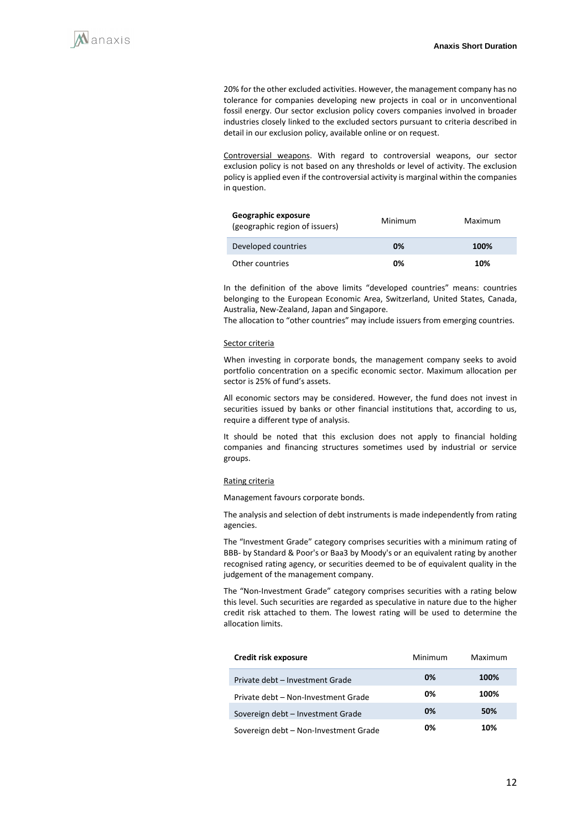20% for the other excluded activities. However, the management company has no tolerance for companies developing new projects in coal or in unconventional fossil energy. Our sector exclusion policy covers companies involved in broader industries closely linked to the excluded sectors pursuant to criteria described in detail in our exclusion policy, available online or on request.

Controversial weapons. With regard to controversial weapons, our sector exclusion policy is not based on any thresholds or level of activity. The exclusion policy is applied even if the controversial activity is marginal within the companies in question.

| Geographic exposure<br>(geographic region of issuers) | Minimum | Maximum |
|-------------------------------------------------------|---------|---------|
| Developed countries                                   | 0%      | 100%    |
| Other countries                                       | 0%      | 10%     |

In the definition of the above limits "developed countries" means: countries belonging to the European Economic Area, Switzerland, United States, Canada, Australia, New-Zealand, Japan and Singapore.

The allocation to "other countries" may include issuers from emerging countries.

#### Sector criteria

When investing in corporate bonds, the management company seeks to avoid portfolio concentration on a specific economic sector. Maximum allocation per sector is 25% of fund's assets.

All economic sectors may be considered. However, the fund does not invest in securities issued by banks or other financial institutions that, according to us, require a different type of analysis.

It should be noted that this exclusion does not apply to financial holding companies and financing structures sometimes used by industrial or service groups.

#### Rating criteria

Management favours corporate bonds.

The analysis and selection of debt instruments is made independently from rating agencies.

The "Investment Grade" category comprises securities with a minimum rating of BBB- by Standard & Poor's or Baa3 by Moody's or an equivalent rating by another recognised rating agency, or securities deemed to be of equivalent quality in the judgement of the management company.

The "Non-Investment Grade" category comprises securities with a rating below this level. Such securities are regarded as speculative in nature due to the higher credit risk attached to them. The lowest rating will be used to determine the allocation limits.

| Credit risk exposure                  | Minimum | Maximum |
|---------------------------------------|---------|---------|
| Private debt - Investment Grade       | 0%      | 100%    |
| Private debt - Non-Investment Grade   | 0%      | 100%    |
| Sovereign debt - Investment Grade     | 0%      | 50%     |
| Sovereign debt - Non-Investment Grade | 0%      | 10%     |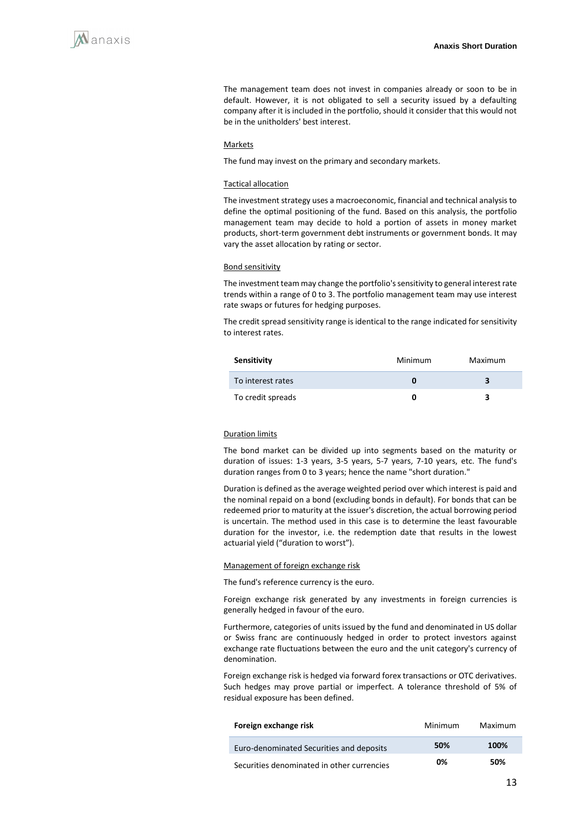The management team does not invest in companies already or soon to be in default. However, it is not obligated to sell a security issued by a defaulting company after it is included in the portfolio, should it consider that this would not be in the unitholders' best interest.

#### **Markets**

The fund may invest on the primary and secondary markets.

#### Tactical allocation

The investment strategy uses a macroeconomic, financial and technical analysis to define the optimal positioning of the fund. Based on this analysis, the portfolio management team may decide to hold a portion of assets in money market products, short-term government debt instruments or government bonds. It may vary the asset allocation by rating or sector.

#### Bond sensitivity

The investment team may change the portfolio's sensitivity to general interest rate trends within a range of 0 to 3. The portfolio management team may use interest rate swaps or futures for hedging purposes.

The credit spread sensitivity range is identical to the range indicated for sensitivity to interest rates.

| Sensitivity       | Minimum | Maximum |
|-------------------|---------|---------|
| To interest rates |         |         |
| To credit spreads |         |         |

#### Duration limits

The bond market can be divided up into segments based on the maturity or duration of issues: 1-3 years, 3-5 years, 5-7 years, 7-10 years, etc. The fund's duration ranges from 0 to 3 years; hence the name "short duration."

Duration is defined as the average weighted period over which interest is paid and the nominal repaid on a bond (excluding bonds in default). For bonds that can be redeemed prior to maturity at the issuer's discretion, the actual borrowing period is uncertain. The method used in this case is to determine the least favourable duration for the investor, i.e. the redemption date that results in the lowest actuarial yield ("duration to worst").

#### Management of foreign exchange risk

The fund's reference currency is the euro.

Foreign exchange risk generated by any investments in foreign currencies is generally hedged in favour of the euro.

Furthermore, categories of units issued by the fund and denominated in US dollar or Swiss franc are continuously hedged in order to protect investors against exchange rate fluctuations between the euro and the unit category's currency of denomination.

Foreign exchange risk is hedged via forward forex transactions or OTC derivatives. Such hedges may prove partial or imperfect. A tolerance threshold of 5% of residual exposure has been defined.

| Foreign exchange risk                      | Minimum | Maximum |
|--------------------------------------------|---------|---------|
| Euro-denominated Securities and deposits   | 50%     | 100%    |
| Securities denominated in other currencies | 0%      | 50%     |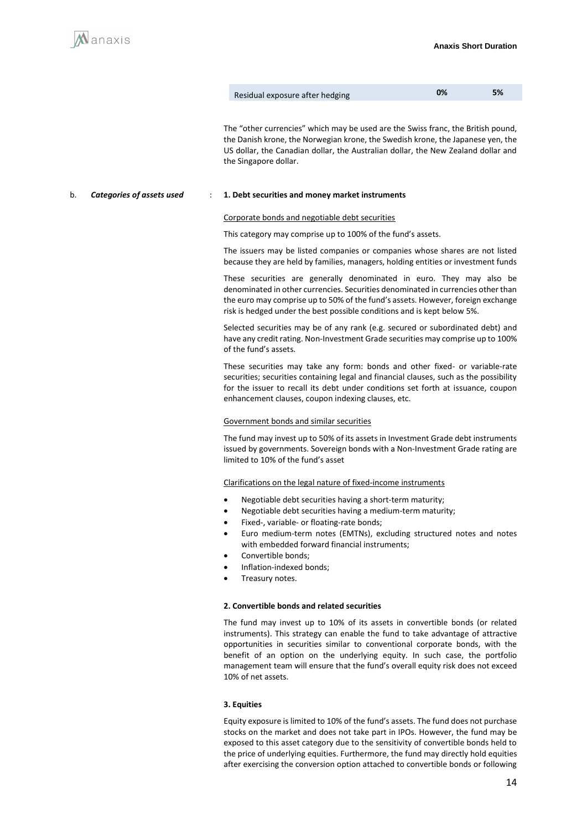

| Residual exposure after hedging | 0% | 5% |
|---------------------------------|----|----|
|---------------------------------|----|----|

The "other currencies" which may be used are the Swiss franc, the British pound, the Danish krone, the Norwegian krone, the Swedish krone, the Japanese yen, the US dollar, the Canadian dollar, the Australian dollar, the New Zealand dollar and the Singapore dollar.

#### b. *Categories of assets used* : **1. Debt securities and money market instruments**

#### Corporate bonds and negotiable debt securities

This category may comprise up to 100% of the fund's assets.

The issuers may be listed companies or companies whose shares are not listed because they are held by families, managers, holding entities or investment funds

These securities are generally denominated in euro. They may also be denominated in other currencies. Securities denominated in currencies other than the euro may comprise up to 50% of the fund's assets. However, foreign exchange risk is hedged under the best possible conditions and is kept below 5%.

Selected securities may be of any rank (e.g. secured or subordinated debt) and have any credit rating. Non-Investment Grade securities may comprise up to 100% of the fund's assets.

These securities may take any form: bonds and other fixed- or variable-rate securities; securities containing legal and financial clauses, such as the possibility for the issuer to recall its debt under conditions set forth at issuance, coupon enhancement clauses, coupon indexing clauses, etc.

#### Government bonds and similar securities

The fund may invest up to 50% of its assets in Investment Grade debt instruments issued by governments. Sovereign bonds with a Non-Investment Grade rating are limited to 10% of the fund's asset

#### Clarifications on the legal nature of fixed-income instruments

- Negotiable debt securities having a short-term maturity;
- Negotiable debt securities having a medium-term maturity;
- Fixed-, variable- or floating-rate bonds;
- Euro medium-term notes (EMTNs), excluding structured notes and notes with embedded forward financial instruments;
- Convertible bonds;
- Inflation-indexed bonds;
- Treasury notes.

#### **2. Convertible bonds and related securities**

The fund may invest up to 10% of its assets in convertible bonds (or related instruments). This strategy can enable the fund to take advantage of attractive opportunities in securities similar to conventional corporate bonds, with the benefit of an option on the underlying equity. In such case, the portfolio management team will ensure that the fund's overall equity risk does not exceed 10% of net assets.

#### **3. Equities**

Equity exposure is limited to 10% of the fund's assets. The fund does not purchase stocks on the market and does not take part in IPOs. However, the fund may be exposed to this asset category due to the sensitivity of convertible bonds held to the price of underlying equities. Furthermore, the fund may directly hold equities after exercising the conversion option attached to convertible bonds or following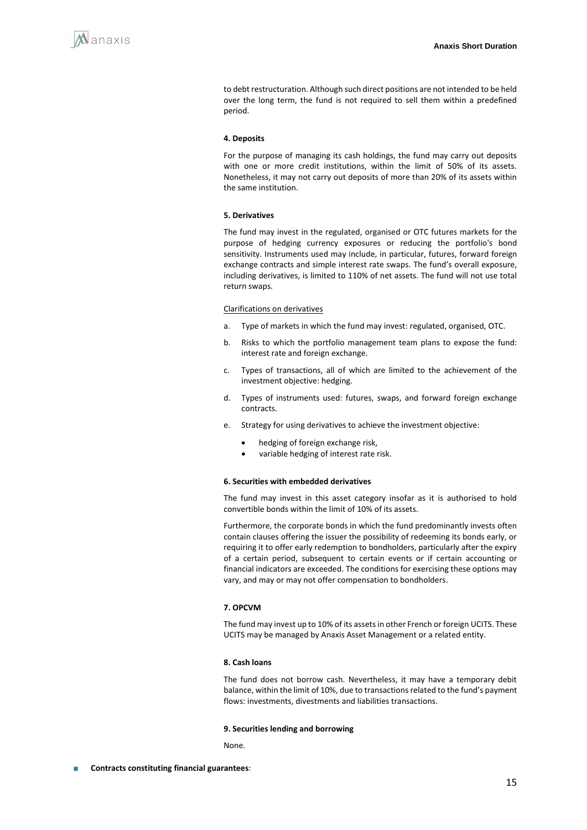to debt restructuration. Although such direct positions are not intended to be held over the long term, the fund is not required to sell them within a predefined period.

#### **4. Deposits**

For the purpose of managing its cash holdings, the fund may carry out deposits with one or more credit institutions, within the limit of 50% of its assets. Nonetheless, it may not carry out deposits of more than 20% of its assets within the same institution.

#### **5. Derivatives**

The fund may invest in the regulated, organised or OTC futures markets for the purpose of hedging currency exposures or reducing the portfolio's bond sensitivity. Instruments used may include, in particular, futures, forward foreign exchange contracts and simple interest rate swaps. The fund's overall exposure, including derivatives, is limited to 110% of net assets. The fund will not use total return swaps.

#### Clarifications on derivatives

- a. Type of markets in which the fund may invest: regulated, organised, OTC.
- b. Risks to which the portfolio management team plans to expose the fund: interest rate and foreign exchange.
- c. Types of transactions, all of which are limited to the achievement of the investment objective: hedging.
- d. Types of instruments used: futures, swaps, and forward foreign exchange contracts.
- e. Strategy for using derivatives to achieve the investment objective:
	- hedging of foreign exchange risk,
	- variable hedging of interest rate risk.

#### **6. Securities with embedded derivatives**

The fund may invest in this asset category insofar as it is authorised to hold convertible bonds within the limit of 10% of its assets.

Furthermore, the corporate bonds in which the fund predominantly invests often contain clauses offering the issuer the possibility of redeeming its bonds early, or requiring it to offer early redemption to bondholders, particularly after the expiry of a certain period, subsequent to certain events or if certain accounting or financial indicators are exceeded. The conditions for exercising these options may vary, and may or may not offer compensation to bondholders.

#### **7. OPCVM**

The fund may invest up to 10% of its assets in other French or foreign UCITS. These UCITS may be managed by Anaxis Asset Management or a related entity.

#### **8. Cash loans**

The fund does not borrow cash. Nevertheless, it may have a temporary debit balance, within the limit of 10%, due to transactions related to the fund's payment flows: investments, divestments and liabilities transactions.

#### **9. Securities lending and borrowing**

None.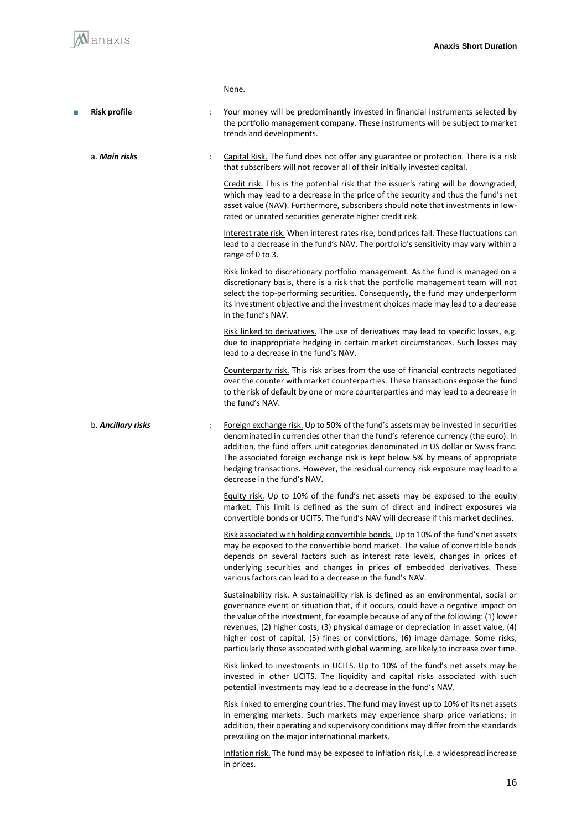|    |                     |   | None.                                                                                                                                                                                                                                                                                                                                                                                                                                                                                                                              |
|----|---------------------|---|------------------------------------------------------------------------------------------------------------------------------------------------------------------------------------------------------------------------------------------------------------------------------------------------------------------------------------------------------------------------------------------------------------------------------------------------------------------------------------------------------------------------------------|
| T. | <b>Risk profile</b> |   | Your money will be predominantly invested in financial instruments selected by<br>the portfolio management company. These instruments will be subject to market<br>trends and developments.                                                                                                                                                                                                                                                                                                                                        |
|    | a. Main risks       | ÷ | Capital Risk. The fund does not offer any guarantee or protection. There is a risk<br>that subscribers will not recover all of their initially invested capital.                                                                                                                                                                                                                                                                                                                                                                   |
|    |                     |   | Credit risk. This is the potential risk that the issuer's rating will be downgraded,<br>which may lead to a decrease in the price of the security and thus the fund's net<br>asset value (NAV). Furthermore, subscribers should note that investments in low-<br>rated or unrated securities generate higher credit risk.                                                                                                                                                                                                          |
|    |                     |   | Interest rate risk. When interest rates rise, bond prices fall. These fluctuations can<br>lead to a decrease in the fund's NAV. The portfolio's sensitivity may vary within a<br>range of 0 to 3.                                                                                                                                                                                                                                                                                                                                  |
|    |                     |   | Risk linked to discretionary portfolio management. As the fund is managed on a<br>discretionary basis, there is a risk that the portfolio management team will not<br>select the top-performing securities. Consequently, the fund may underperform<br>its investment objective and the investment choices made may lead to a decrease<br>in the fund's NAV.                                                                                                                                                                       |
|    |                     |   | Risk linked to derivatives. The use of derivatives may lead to specific losses, e.g.<br>due to inappropriate hedging in certain market circumstances. Such losses may<br>lead to a decrease in the fund's NAV.                                                                                                                                                                                                                                                                                                                     |
|    |                     |   | Counterparty risk. This risk arises from the use of financial contracts negotiated<br>over the counter with market counterparties. These transactions expose the fund<br>to the risk of default by one or more counterparties and may lead to a decrease in<br>the fund's NAV.                                                                                                                                                                                                                                                     |
|    | b. Ancillary risks  |   | Foreign exchange risk. Up to 50% of the fund's assets may be invested in securities<br>denominated in currencies other than the fund's reference currency (the euro). In<br>addition, the fund offers unit categories denominated in US dollar or Swiss franc.<br>The associated foreign exchange risk is kept below 5% by means of appropriate<br>hedging transactions. However, the residual currency risk exposure may lead to a<br>decrease in the fund's NAV.                                                                 |
|    |                     |   | Equity risk. Up to 10% of the fund's net assets may be exposed to the equity<br>market. This limit is defined as the sum of direct and indirect exposures via<br>convertible bonds or UCITS. The fund's NAV will decrease if this market declines.                                                                                                                                                                                                                                                                                 |
|    |                     |   | Risk associated with holding convertible bonds. Up to 10% of the fund's net assets<br>may be exposed to the convertible bond market. The value of convertible bonds<br>depends on several factors such as interest rate levels, changes in prices of<br>underlying securities and changes in prices of embedded derivatives. These<br>various factors can lead to a decrease in the fund's NAV.                                                                                                                                    |
|    |                     |   | Sustainability risk. A sustainability risk is defined as an environmental, social or<br>governance event or situation that, if it occurs, could have a negative impact on<br>the value of the investment, for example because of any of the following: (1) lower<br>revenues, (2) higher costs, (3) physical damage or depreciation in asset value, (4)<br>higher cost of capital, (5) fines or convictions, (6) image damage. Some risks,<br>particularly those associated with global warming, are likely to increase over time. |
|    |                     |   | Risk linked to investments in UCITS. Up to 10% of the fund's net assets may be<br>invested in other UCITS. The liquidity and capital risks associated with such<br>potential investments may lead to a decrease in the fund's NAV.                                                                                                                                                                                                                                                                                                 |
|    |                     |   | Risk linked to emerging countries. The fund may invest up to 10% of its net assets<br>in emerging markets. Such markets may experience sharp price variations; in<br>addition, their operating and supervisory conditions may differ from the standards<br>prevailing on the major international markets.                                                                                                                                                                                                                          |
|    |                     |   | Inflation risk. The fund may be exposed to inflation risk, i.e. a widespread increase<br>in prices.                                                                                                                                                                                                                                                                                                                                                                                                                                |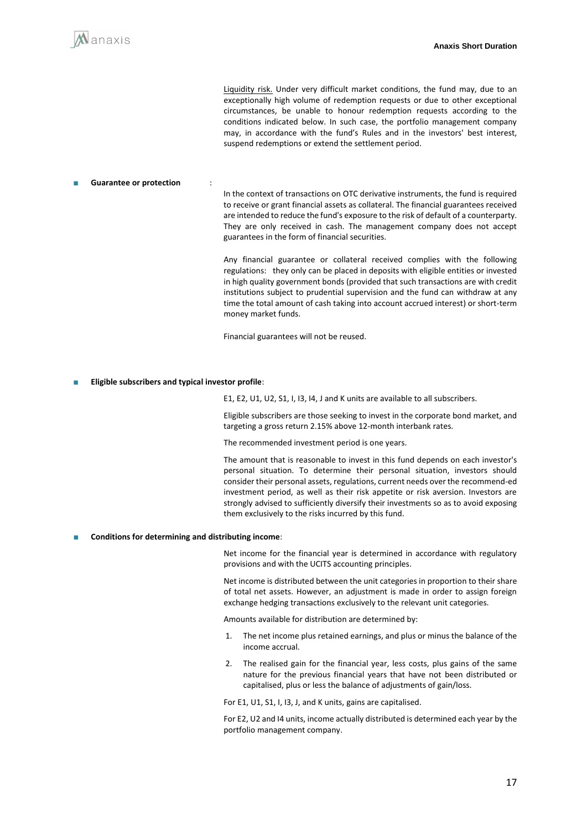

Liquidity risk. Under very difficult market conditions, the fund may, due to an exceptionally high volume of redemption requests or due to other exceptional circumstances, be unable to honour redemption requests according to the conditions indicated below. In such case, the portfolio management company may, in accordance with the fund's Rules and in the investors' best interest, suspend redemptions or extend the settlement period.

#### **Guarantee or protection**

In the context of transactions on OTC derivative instruments, the fund is required to receive or grant financial assets as collateral. The financial guarantees received are intended to reduce the fund's exposure to the risk of default of a counterparty. They are only received in cash. The management company does not accept guarantees in the form of financial securities.

Any financial guarantee or collateral received complies with the following regulations: they only can be placed in deposits with eligible entities or invested in high quality government bonds (provided that such transactions are with credit institutions subject to prudential supervision and the fund can withdraw at any time the total amount of cash taking into account accrued interest) or short-term money market funds.

Financial guarantees will not be reused.

**Eligible subscribers and typical investor profile:** 

E1, E2, U1, U2, S1, I, I3, I4, J and K units are available to all subscribers.

Eligible subscribers are those seeking to invest in the corporate bond market, and targeting a gross return 2.15% above 12-month interbank rates.

The recommended investment period is one years.

The amount that is reasonable to invest in this fund depends on each investor's personal situation. To determine their personal situation, investors should consider their personal assets, regulations, current needs over the recommend-ed investment period, as well as their risk appetite or risk aversion. Investors are strongly advised to sufficiently diversify their investments so as to avoid exposing them exclusively to the risks incurred by this fund.

#### ■ **Conditions for determining and distributing income**:

Net income for the financial year is determined in accordance with regulatory provisions and with the UCITS accounting principles.

Net income is distributed between the unit categories in proportion to their share of total net assets. However, an adjustment is made in order to assign foreign exchange hedging transactions exclusively to the relevant unit categories.

Amounts available for distribution are determined by:

- 1. The net income plus retained earnings, and plus or minus the balance of the income accrual.
- 2. The realised gain for the financial year, less costs, plus gains of the same nature for the previous financial years that have not been distributed or capitalised, plus or less the balance of adjustments of gain/loss.

For E1, U1, S1, I, I3, J, and K units, gains are capitalised.

For E2, U2 and I4 units, income actually distributed is determined each year by the portfolio management company.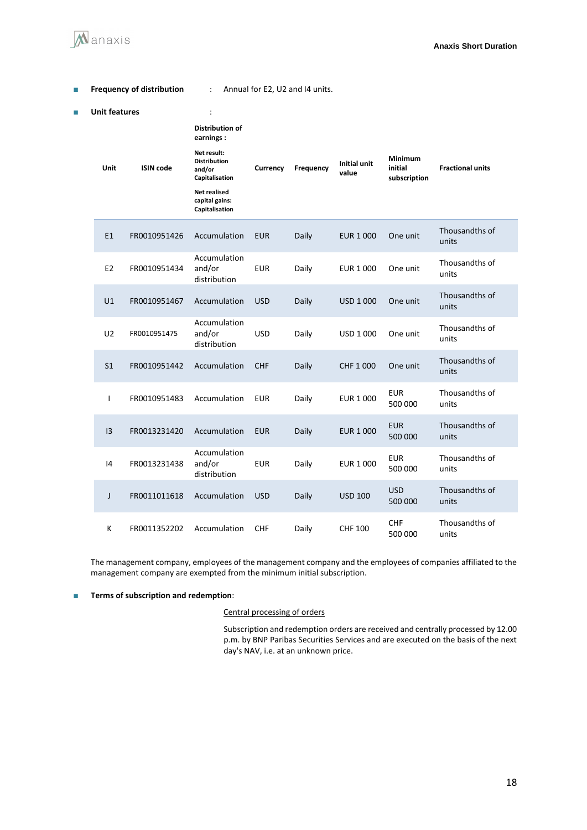

| E | <b>Frequency of distribution</b> |                  | Annual for E2, U2 and I4 units.                                |            |           |                       |                                           |                         |  |
|---|----------------------------------|------------------|----------------------------------------------------------------|------------|-----------|-----------------------|-------------------------------------------|-------------------------|--|
| П | <b>Unit features</b>             |                  | $\ddot{\cdot}$                                                 |            |           |                       |                                           |                         |  |
|   |                                  | <b>ISIN code</b> | <b>Distribution of</b><br>earnings:                            |            |           |                       | <b>Minimum</b><br>initial<br>subscription | <b>Fractional units</b> |  |
|   | Unit                             |                  | Net result:<br><b>Distribution</b><br>and/or<br>Capitalisation | Currency   | Frequency | Initial unit<br>value |                                           |                         |  |
|   |                                  |                  | Net realised<br>capital gains:<br>Capitalisation               |            |           |                       |                                           |                         |  |
|   | E1                               | FR0010951426     | Accumulation                                                   | <b>EUR</b> | Daily     | <b>EUR 1 000</b>      | One unit                                  | Thousandths of<br>units |  |
|   | E <sub>2</sub>                   | FR0010951434     | Accumulation<br>and/or<br>distribution                         | <b>EUR</b> | Daily     | <b>EUR 1 000</b>      | One unit                                  | Thousandths of<br>units |  |
|   | U1                               | FR0010951467     | Accumulation                                                   | <b>USD</b> | Daily     | USD 1 000             | One unit                                  | Thousandths of<br>units |  |
|   | U <sub>2</sub>                   | FR0010951475     | Accumulation<br>and/or<br>distribution                         | <b>USD</b> | Daily     | USD 1 000             | One unit                                  | Thousandths of<br>units |  |
|   | S <sub>1</sub>                   | FR0010951442     | Accumulation                                                   | <b>CHF</b> | Daily     | CHF 1 000             | One unit                                  | Thousandths of<br>units |  |
|   | $\mathsf{I}$                     | FR0010951483     | Accumulation                                                   | <b>EUR</b> | Daily     | <b>EUR 1 000</b>      | <b>EUR</b><br>500 000                     | Thousandths of<br>units |  |
|   | 13                               | FR0013231420     | Accumulation                                                   | <b>EUR</b> | Daily     | <b>EUR 1 000</b>      | <b>EUR</b><br>500 000                     | Thousandths of<br>units |  |
|   | 4                                | FR0013231438     | Accumulation<br>and/or<br>distribution                         | <b>EUR</b> | Daily     | EUR 1 000             | <b>EUR</b><br>500 000                     | Thousandths of<br>units |  |
|   | J                                | FR0011011618     | Accumulation                                                   | <b>USD</b> | Daily     | <b>USD 100</b>        | <b>USD</b><br>500 000                     | Thousandths of<br>units |  |
|   | Κ                                | FR0011352202     | Accumulation                                                   | <b>CHF</b> | Daily     | <b>CHF 100</b>        | <b>CHF</b><br>500 000                     | Thousandths of<br>units |  |

The management company, employees of the management company and the employees of companies affiliated to the management company are exempted from the minimum initial subscription.

#### ■ **Terms of subscription and redemption**:

#### Central processing of orders

Subscription and redemption orders are received and centrally processed by 12.00 p.m. by BNP Paribas Securities Services and are executed on the basis of the next day's NAV, i.e. at an unknown price.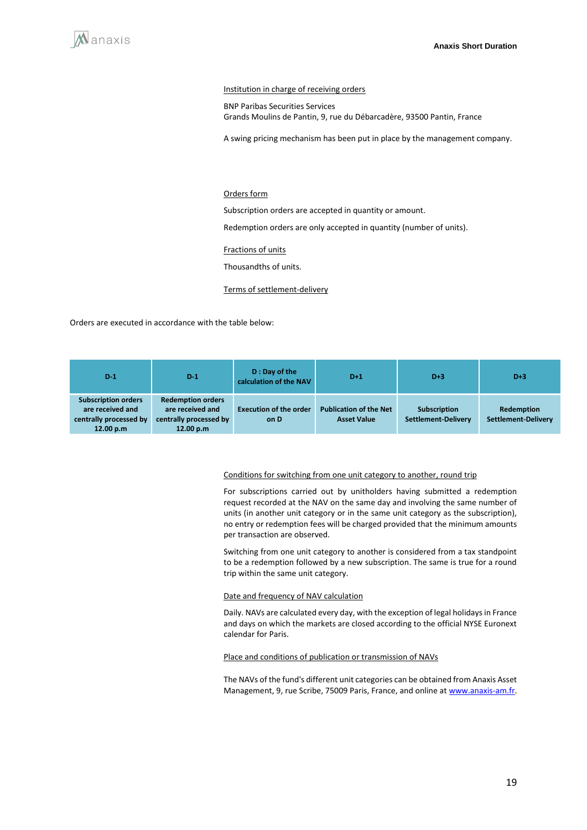

#### Institution in charge of receiving orders

BNP Paribas Securities Services Grands Moulins de Pantin, 9, rue du Débarcadère, 93500 Pantin, France

A swing pricing mechanism has been put in place by the management company.

#### Orders form

Subscription orders are accepted in quantity or amount.

Redemption orders are only accepted in quantity (number of units).

Fractions of units

Thousandths of units.

Terms of settlement-delivery

Orders are executed in accordance with the table below:

| $D-1$                                                                                 | $D-1$                                                                               | D: Day of the<br>calculation of the NAV | $D+1$                                               | $D+3$                                      | $D+3$                                    |
|---------------------------------------------------------------------------------------|-------------------------------------------------------------------------------------|-----------------------------------------|-----------------------------------------------------|--------------------------------------------|------------------------------------------|
| <b>Subscription orders</b><br>are received and<br>centrally processed by<br>12.00 p.m | <b>Redemption orders</b><br>are received and<br>centrally processed by<br>12.00 p.m | <b>Execution of the order</b><br>on D   | <b>Publication of the Net</b><br><b>Asset Value</b> | <b>Subscription</b><br>Settlement-Delivery | Redemption<br><b>Settlement-Delivery</b> |

#### Conditions for switching from one unit category to another, round trip

For subscriptions carried out by unitholders having submitted a redemption request recorded at the NAV on the same day and involving the same number of units (in another unit category or in the same unit category as the subscription), no entry or redemption fees will be charged provided that the minimum amounts per transaction are observed.

Switching from one unit category to another is considered from a tax standpoint to be a redemption followed by a new subscription. The same is true for a round trip within the same unit category.

#### Date and frequency of NAV calculation

Daily. NAVs are calculated every day, with the exception of legal holidays in France and days on which the markets are closed according to the official NYSE Euronext calendar for Paris.

#### Place and conditions of publication or transmission of NAVs

The NAVs of the fund's different unit categories can be obtained from Anaxis Asset Management, 9, rue Scribe, 75009 Paris, France, and online a[t www.anaxis-am.fr.](http://www.anaxis-am.fr/)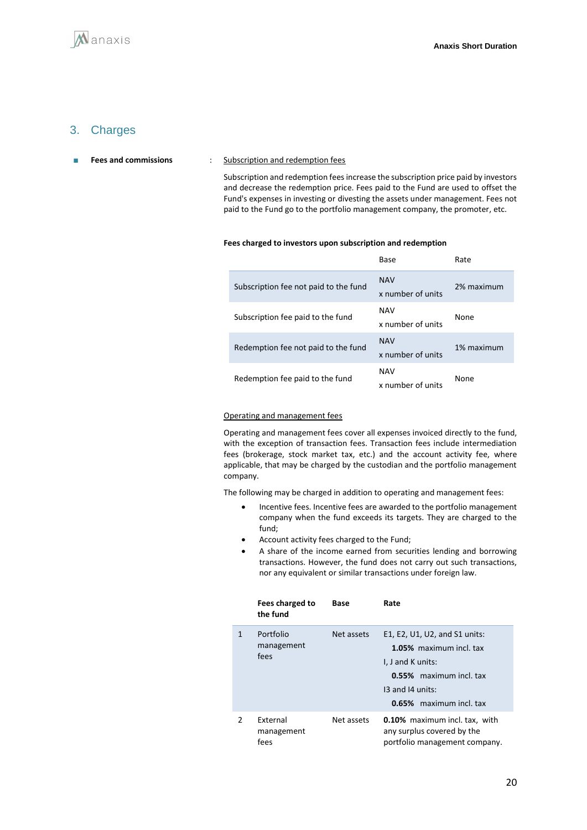### 3. Charges

#### ■ **Fees and commissions** : Subscription and redemption fees

Subscription and redemption fees increase the subscription price paid by investors and decrease the redemption price. Fees paid to the Fund are used to offset the Fund's expenses in investing or divesting the assets under management. Fees not paid to the Fund go to the portfolio management company, the promoter, etc.

#### **Fees charged to investors upon subscription and redemption**

|                                       | Base                            | Rate       |
|---------------------------------------|---------------------------------|------------|
| Subscription fee not paid to the fund | <b>NAV</b><br>x number of units | 2% maximum |
| Subscription fee paid to the fund     | <b>NAV</b><br>x number of units | None       |
| Redemption fee not paid to the fund   | <b>NAV</b><br>x number of units | 1% maximum |
| Redemption fee paid to the fund       | <b>NAV</b><br>x number of units | None       |

#### Operating and management fees

Operating and management fees cover all expenses invoiced directly to the fund, with the exception of transaction fees. Transaction fees include intermediation fees (brokerage, stock market tax, etc.) and the account activity fee, where applicable, that may be charged by the custodian and the portfolio management company.

The following may be charged in addition to operating and management fees:

- Incentive fees. Incentive fees are awarded to the portfolio management company when the fund exceeds its targets. They are charged to the fund;
- Account activity fees charged to the Fund;
- A share of the income earned from securities lending and borrowing transactions. However, the fund does not carry out such transactions, nor any equivalent or similar transactions under foreign law.

|               | Fees charged to<br>the fund           | Base       | Rate                                                                                                                                                    |
|---------------|---------------------------------------|------------|---------------------------------------------------------------------------------------------------------------------------------------------------------|
|               | Portfolio<br>management<br>fees       | Net assets | E1, E2, U1, U2, and S1 units:<br>1.05% maximum incl. tax<br>I, J and K units:<br>0.55% maximum incl. tax<br>13 and 14 units:<br>0.65% maximum incl. tax |
| $\mathcal{P}$ | <b>Fxternal</b><br>management<br>fees | Net assets | <b>0.10%</b> maximum incl. tax, with<br>any surplus covered by the<br>portfolio management company.                                                     |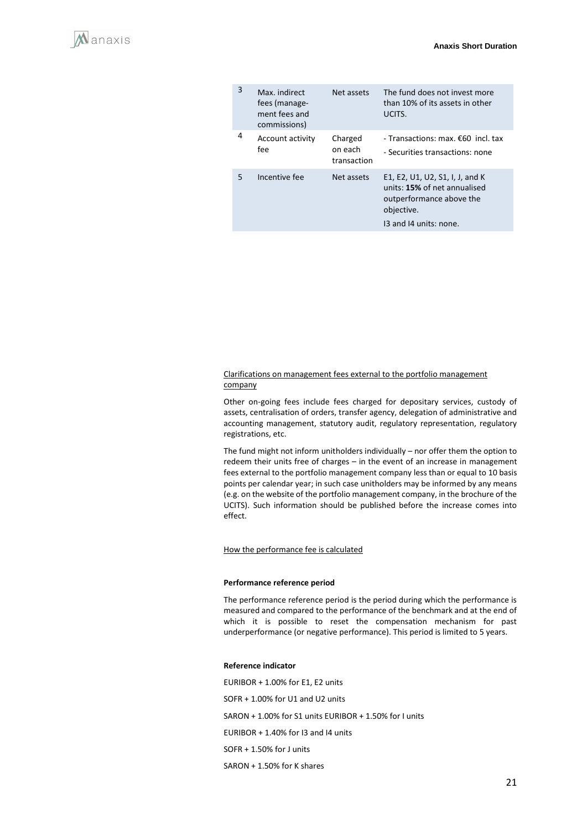| 3 | Max. indirect<br>fees (manage-<br>ment fees and<br>commissions) | Net assets                        | The fund does not invest more<br>than 10% of its assets in other<br>UCITS.                                                          |
|---|-----------------------------------------------------------------|-----------------------------------|-------------------------------------------------------------------------------------------------------------------------------------|
| 4 | Account activity<br>fee                                         | Charged<br>on each<br>transaction | - Transactions: max. $\epsilon$ 60 incl. tax<br>- Securities transactions: none                                                     |
| 5 | Incentive fee                                                   | Net assets                        | E1, E2, U1, U2, S1, I, J, and K<br>units: 15% of net annualised<br>outperformance above the<br>objective.<br>13 and 14 units: none. |

#### Clarifications on management fees external to the portfolio management company

Other on-going fees include fees charged for depositary services, custody of assets, centralisation of orders, transfer agency, delegation of administrative and accounting management, statutory audit, regulatory representation, regulatory registrations, etc.

The fund might not inform unitholders individually – nor offer them the option to redeem their units free of charges – in the event of an increase in management fees external to the portfolio management company less than or equal to 10 basis points per calendar year; in such case unitholders may be informed by any means (e.g. on the website of the portfolio management company, in the brochure of the UCITS). Such information should be published before the increase comes into effect.

#### How the performance fee is calculated

#### **Performance reference period**

The performance reference period is the period during which the performance is measured and compared to the performance of the benchmark and at the end of which it is possible to reset the compensation mechanism for past underperformance (or negative performance). This period is limited to 5 years.

#### **Reference indicator**

EURIBOR + 1.00% for E1, E2 units SOFR + 1.00% for U1 and U2 units SARON + 1.00% for S1 units EURIBOR + 1.50% for I units EURIBOR + 1.40% for I3 and I4 units SOFR + 1.50% for J units SARON + 1.50% for K shares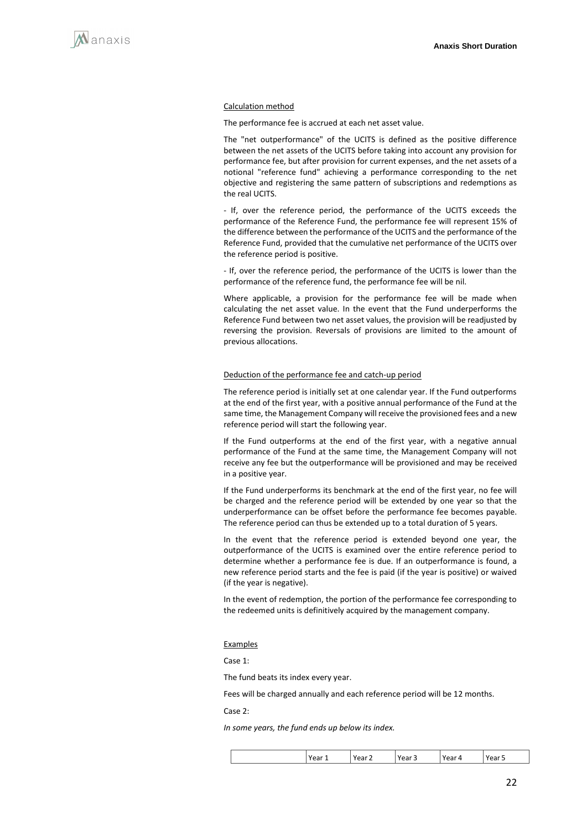

#### Calculation method

The performance fee is accrued at each net asset value.

The "net outperformance" of the UCITS is defined as the positive difference between the net assets of the UCITS before taking into account any provision for performance fee, but after provision for current expenses, and the net assets of a notional "reference fund" achieving a performance corresponding to the net objective and registering the same pattern of subscriptions and redemptions as the real UCITS.

- If, over the reference period, the performance of the UCITS exceeds the performance of the Reference Fund, the performance fee will represent 15% of the difference between the performance of the UCITS and the performance of the Reference Fund, provided that the cumulative net performance of the UCITS over the reference period is positive.

- If, over the reference period, the performance of the UCITS is lower than the performance of the reference fund, the performance fee will be nil.

Where applicable, a provision for the performance fee will be made when calculating the net asset value. In the event that the Fund underperforms the Reference Fund between two net asset values, the provision will be readjusted by reversing the provision. Reversals of provisions are limited to the amount of previous allocations.

#### Deduction of the performance fee and catch-up period

The reference period is initially set at one calendar year. If the Fund outperforms at the end of the first year, with a positive annual performance of the Fund at the same time, the Management Company will receive the provisioned fees and a new reference period will start the following year.

If the Fund outperforms at the end of the first year, with a negative annual performance of the Fund at the same time, the Management Company will not receive any fee but the outperformance will be provisioned and may be received in a positive year.

If the Fund underperforms its benchmark at the end of the first year, no fee will be charged and the reference period will be extended by one year so that the underperformance can be offset before the performance fee becomes payable. The reference period can thus be extended up to a total duration of 5 years.

In the event that the reference period is extended beyond one year, the outperformance of the UCITS is examined over the entire reference period to determine whether a performance fee is due. If an outperformance is found, a new reference period starts and the fee is paid (if the year is positive) or waived (if the year is negative).

In the event of redemption, the portion of the performance fee corresponding to the redeemed units is definitively acquired by the management company.

#### Examples

Case 1:

The fund beats its index every year.

Fees will be charged annually and each reference period will be 12 months.

Case 2:

*In some years, the fund ends up below its index.*

| ハヘッ<br>$\sim$ $\sim$<br>`~~<br>$ -$<br>аı<br>ו⊿י<br>۰d١<br>-<br>-<br>$-$ |  |
|--------------------------------------------------------------------------|--|
|--------------------------------------------------------------------------|--|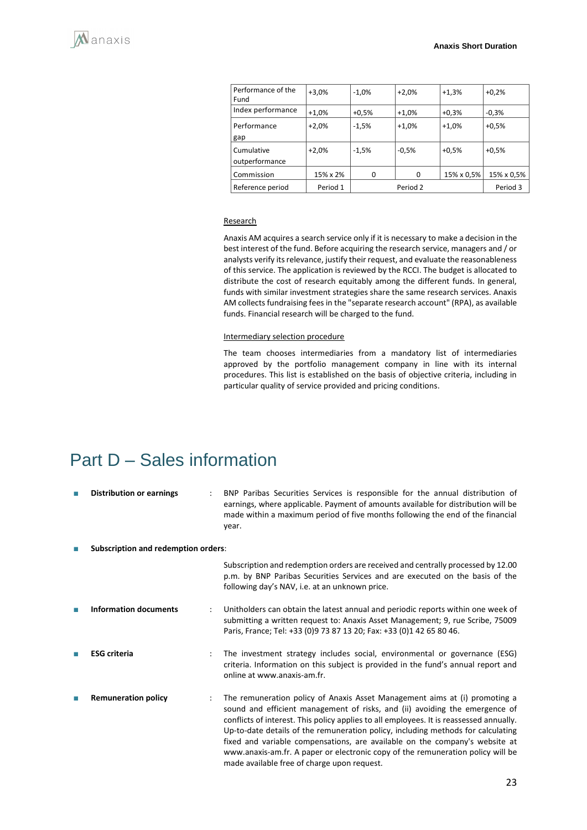| Performance of the<br>Fund   | $+3,0%$  | $-1.0%$ | $+2,0%$  | $+1,3%$    | $+0.2%$    |
|------------------------------|----------|---------|----------|------------|------------|
| Index performance            | $+1,0%$  | $+0.5%$ | $+1,0%$  | $+0.3%$    | $-0.3%$    |
| Performance<br>gap           | $+2,0%$  | $-1,5%$ | $+1,0%$  | $+1,0%$    | $+0.5%$    |
| Cumulative<br>outperformance | $+2,0%$  | $-1.5%$ | $-0.5%$  | $+0.5%$    | $+0.5%$    |
| Commission                   | 15% x 2% | 0       | 0        | 15% x 0,5% | 15% x 0,5% |
| Reference period             | Period 1 |         | Period 2 |            | Period 3   |

#### **Research**

Anaxis AM acquires a search service only if it is necessary to make a decision in the best interest of the fund. Before acquiring the research service, managers and / or analysts verify its relevance, justify their request, and evaluate the reasonableness of this service. The application is reviewed by the RCCI. The budget is allocated to distribute the cost of research equitably among the different funds. In general, funds with similar investment strategies share the same research services. Anaxis AM collects fundraising fees in the "separate research account" (RPA), as available funds. Financial research will be charged to the fund.

#### Intermediary selection procedure

The team chooses intermediaries from a mandatory list of intermediaries approved by the portfolio management company in line with its internal procedures. This list is established on the basis of objective criteria, including in particular quality of service provided and pricing conditions.

## <span id="page-22-0"></span>Part D – Sales information

| T. | <b>Distribution or earnings</b>            |   | BNP Paribas Securities Services is responsible for the annual distribution of<br>earnings, where applicable. Payment of amounts available for distribution will be<br>made within a maximum period of five months following the end of the financial<br>year.                                                                                                                                                                                                                                                                                             |
|----|--------------------------------------------|---|-----------------------------------------------------------------------------------------------------------------------------------------------------------------------------------------------------------------------------------------------------------------------------------------------------------------------------------------------------------------------------------------------------------------------------------------------------------------------------------------------------------------------------------------------------------|
| T. | <b>Subscription and redemption orders:</b> |   |                                                                                                                                                                                                                                                                                                                                                                                                                                                                                                                                                           |
|    |                                            |   | Subscription and redemption orders are received and centrally processed by 12.00<br>p.m. by BNP Paribas Securities Services and are executed on the basis of the<br>following day's NAV, i.e. at an unknown price.                                                                                                                                                                                                                                                                                                                                        |
| T. | <b>Information documents</b>               | ÷ | Unitholders can obtain the latest annual and periodic reports within one week of<br>submitting a written request to: Anaxis Asset Management; 9, rue Scribe, 75009<br>Paris, France; Tel: +33 (0)9 73 87 13 20; Fax: +33 (0)1 42 65 80 46.                                                                                                                                                                                                                                                                                                                |
| m. | <b>ESG</b> criteria                        |   | The investment strategy includes social, environmental or governance (ESG)<br>criteria. Information on this subject is provided in the fund's annual report and<br>online at www.anaxis-am.fr.                                                                                                                                                                                                                                                                                                                                                            |
|    | <b>Remuneration policy</b>                 |   | The remuneration policy of Anaxis Asset Management aims at (i) promoting a<br>sound and efficient management of risks, and (ii) avoiding the emergence of<br>conflicts of interest. This policy applies to all employees. It is reassessed annually.<br>Up-to-date details of the remuneration policy, including methods for calculating<br>fixed and variable compensations, are available on the company's website at<br>www.anaxis-am.fr. A paper or electronic copy of the remuneration policy will be<br>made available free of charge upon request. |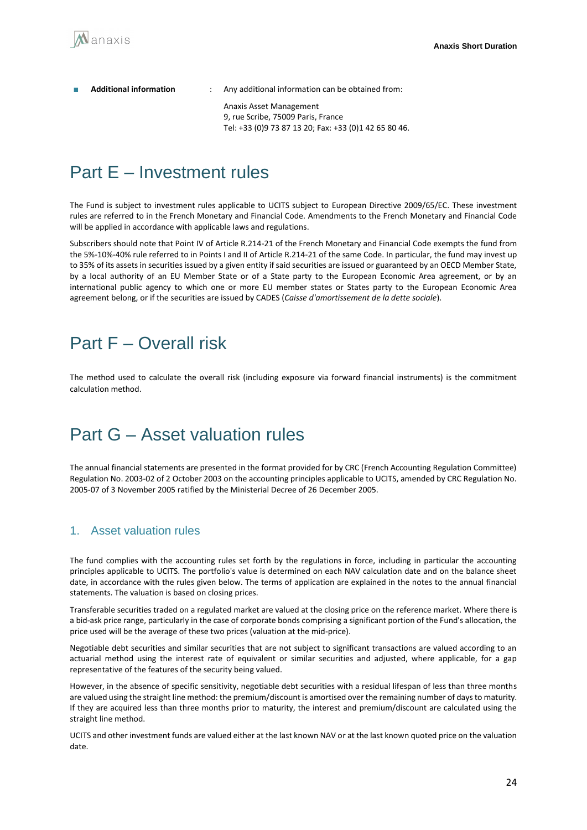| <b>Additional information</b> | Any additional information can be obtained from:                                                                       |
|-------------------------------|------------------------------------------------------------------------------------------------------------------------|
|                               | Anaxis Asset Management<br>9, rue Scribe, 75009 Paris, France<br>Tel: +33 (0)9 73 87 13 20; Fax: +33 (0)1 42 65 80 46. |

# <span id="page-23-0"></span>Part E – Investment rules

The Fund is subject to investment rules applicable to UCITS subject to European Directive 2009/65/EC. These investment rules are referred to in the French Monetary and Financial Code. Amendments to the French Monetary and Financial Code will be applied in accordance with applicable laws and regulations.

Subscribers should note that Point IV of Article R.214-21 of the French Monetary and Financial Code exempts the fund from the 5%-10%-40% rule referred to in Points I and II of Article R.214-21 of the same Code. In particular, the fund may invest up to 35% of its assets in securities issued by a given entity if said securities are issued or guaranteed by an OECD Member State, by a local authority of an EU Member State or of a State party to the European Economic Area agreement, or by an international public agency to which one or more EU member states or States party to the European Economic Area agreement belong, or if the securities are issued by CADES (*Caisse d'amortissement de la dette sociale*).

# <span id="page-23-1"></span>Part F – Overall risk

The method used to calculate the overall risk (including exposure via forward financial instruments) is the commitment calculation method.

# <span id="page-23-2"></span>Part G – Asset valuation rules

The annual financial statements are presented in the format provided for by CRC (French Accounting Regulation Committee) Regulation No. 2003-02 of 2 October 2003 on the accounting principles applicable to UCITS, amended by CRC Regulation No. 2005-07 of 3 November 2005 ratified by the Ministerial Decree of 26 December 2005.

## 1. Asset valuation rules

The fund complies with the accounting rules set forth by the regulations in force, including in particular the accounting principles applicable to UCITS. The portfolio's value is determined on each NAV calculation date and on the balance sheet date, in accordance with the rules given below. The terms of application are explained in the notes to the annual financial statements. The valuation is based on closing prices.

Transferable securities traded on a regulated market are valued at the closing price on the reference market. Where there is a bid-ask price range, particularly in the case of corporate bonds comprising a significant portion of the Fund's allocation, the price used will be the average of these two prices (valuation at the mid-price).

Negotiable debt securities and similar securities that are not subject to significant transactions are valued according to an actuarial method using the interest rate of equivalent or similar securities and adjusted, where applicable, for a gap representative of the features of the security being valued.

However, in the absence of specific sensitivity, negotiable debt securities with a residual lifespan of less than three months are valued using the straight line method: the premium/discount is amortised over the remaining number of days to maturity. If they are acquired less than three months prior to maturity, the interest and premium/discount are calculated using the straight line method.

UCITS and other investment funds are valued either at the last known NAV or at the last known quoted price on the valuation date.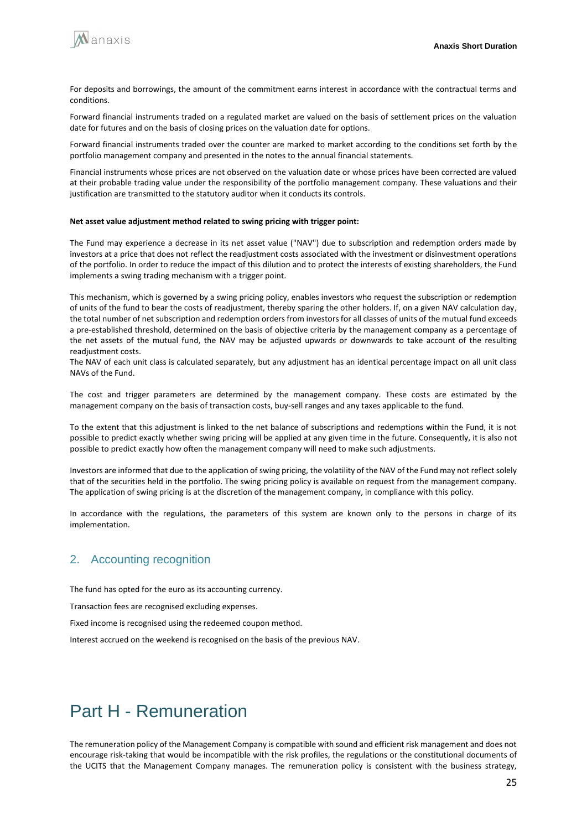

For deposits and borrowings, the amount of the commitment earns interest in accordance with the contractual terms and conditions.

Forward financial instruments traded on a regulated market are valued on the basis of settlement prices on the valuation date for futures and on the basis of closing prices on the valuation date for options.

Forward financial instruments traded over the counter are marked to market according to the conditions set forth by the portfolio management company and presented in the notes to the annual financial statements.

Financial instruments whose prices are not observed on the valuation date or whose prices have been corrected are valued at their probable trading value under the responsibility of the portfolio management company. These valuations and their justification are transmitted to the statutory auditor when it conducts its controls.

#### **Net asset value adjustment method related to swing pricing with trigger point:**

The Fund may experience a decrease in its net asset value ("NAV") due to subscription and redemption orders made by investors at a price that does not reflect the readjustment costs associated with the investment or disinvestment operations of the portfolio. In order to reduce the impact of this dilution and to protect the interests of existing shareholders, the Fund implements a swing trading mechanism with a trigger point.

This mechanism, which is governed by a swing pricing policy, enables investors who request the subscription or redemption of units of the fund to bear the costs of readjustment, thereby sparing the other holders. If, on a given NAV calculation day, the total number of net subscription and redemption orders from investors for all classes of units of the mutual fund exceeds a pre-established threshold, determined on the basis of objective criteria by the management company as a percentage of the net assets of the mutual fund, the NAV may be adjusted upwards or downwards to take account of the resulting readjustment costs.

The NAV of each unit class is calculated separately, but any adjustment has an identical percentage impact on all unit class NAVs of the Fund.

The cost and trigger parameters are determined by the management company. These costs are estimated by the management company on the basis of transaction costs, buy-sell ranges and any taxes applicable to the fund.

To the extent that this adjustment is linked to the net balance of subscriptions and redemptions within the Fund, it is not possible to predict exactly whether swing pricing will be applied at any given time in the future. Consequently, it is also not possible to predict exactly how often the management company will need to make such adjustments.

Investors are informed that due to the application of swing pricing, the volatility of the NAV of the Fund may not reflect solely that of the securities held in the portfolio. The swing pricing policy is available on request from the management company. The application of swing pricing is at the discretion of the management company, in compliance with this policy.

In accordance with the regulations, the parameters of this system are known only to the persons in charge of its implementation.

## 2. Accounting recognition

The fund has opted for the euro as its accounting currency.

Transaction fees are recognised excluding expenses.

Fixed income is recognised using the redeemed coupon method.

Interest accrued on the weekend is recognised on the basis of the previous NAV.

# Part H - Remuneration

The remuneration policy of the Management Company is compatible with sound and efficient risk management and does not encourage risk-taking that would be incompatible with the risk profiles, the regulations or the constitutional documents of the UCITS that the Management Company manages. The remuneration policy is consistent with the business strategy,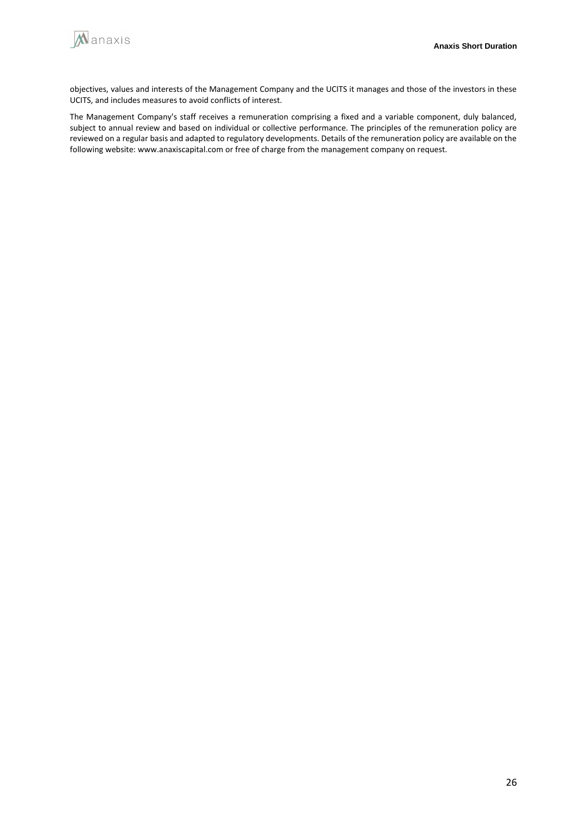

objectives, values and interests of the Management Company and the UCITS it manages and those of the investors in these UCITS, and includes measures to avoid conflicts of interest.

The Management Company's staff receives a remuneration comprising a fixed and a variable component, duly balanced, subject to annual review and based on individual or collective performance. The principles of the remuneration policy are reviewed on a regular basis and adapted to regulatory developments. Details of the remuneration policy are available on the following website: www.anaxiscapital.com or free of charge from the management company on request.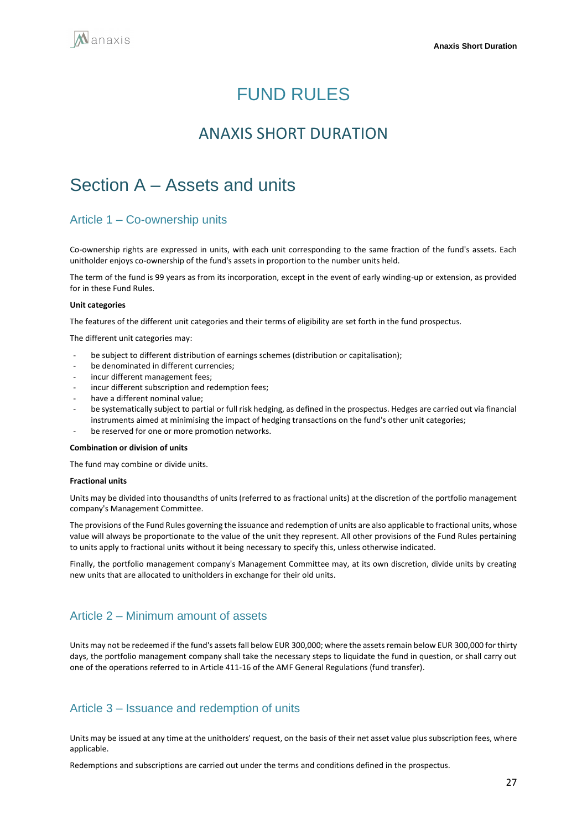# FUND RULES

## ANAXIS SHORT DURATION

# <span id="page-26-1"></span><span id="page-26-0"></span>Section A – Assets and units

### Article 1 – Co-ownership units

Co-ownership rights are expressed in units, with each unit corresponding to the same fraction of the fund's assets. Each unitholder enjoys co-ownership of the fund's assets in proportion to the number units held.

The term of the fund is 99 years as from its incorporation, except in the event of early winding-up or extension, as provided for in these Fund Rules.

#### **Unit categories**

The features of the different unit categories and their terms of eligibility are set forth in the fund prospectus.

The different unit categories may:

- be subject to different distribution of earnings schemes (distribution or capitalisation);
- be denominated in different currencies;
- incur different management fees:
- incur different subscription and redemption fees:
- have a different nominal value;
- be systematically subject to partial or full risk hedging, as defined in the prospectus. Hedges are carried out via financial instruments aimed at minimising the impact of hedging transactions on the fund's other unit categories;
- be reserved for one or more promotion networks.

#### **Combination or division of units**

The fund may combine or divide units.

#### **Fractional units**

Units may be divided into thousandths of units (referred to as fractional units) at the discretion of the portfolio management company's Management Committee.

The provisions of the Fund Rules governing the issuance and redemption of units are also applicable to fractional units, whose value will always be proportionate to the value of the unit they represent. All other provisions of the Fund Rules pertaining to units apply to fractional units without it being necessary to specify this, unless otherwise indicated.

Finally, the portfolio management company's Management Committee may, at its own discretion, divide units by creating new units that are allocated to unitholders in exchange for their old units.

### Article 2 – Minimum amount of assets

Units may not be redeemed if the fund's assets fall below EUR 300,000; where the assets remain below EUR 300,000 for thirty days, the portfolio management company shall take the necessary steps to liquidate the fund in question, or shall carry out one of the operations referred to in Article 411-16 of the AMF General Regulations (fund transfer).

### Article 3 – Issuance and redemption of units

Units may be issued at any time at the unitholders' request, on the basis of their net asset value plus subscription fees, where applicable.

Redemptions and subscriptions are carried out under the terms and conditions defined in the prospectus.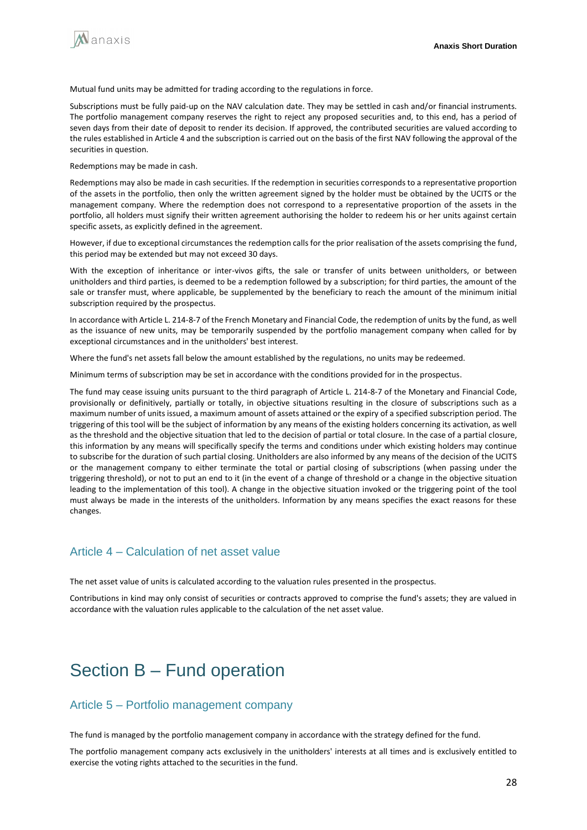

Mutual fund units may be admitted for trading according to the regulations in force.

Subscriptions must be fully paid-up on the NAV calculation date. They may be settled in cash and/or financial instruments. The portfolio management company reserves the right to reject any proposed securities and, to this end, has a period of seven days from their date of deposit to render its decision. If approved, the contributed securities are valued according to the rules established in Article 4 and the subscription is carried out on the basis of the first NAV following the approval of the securities in question.

Redemptions may be made in cash.

Redemptions may also be made in cash securities. If the redemption in securities corresponds to a representative proportion of the assets in the portfolio, then only the written agreement signed by the holder must be obtained by the UCITS or the management company. Where the redemption does not correspond to a representative proportion of the assets in the portfolio, all holders must signify their written agreement authorising the holder to redeem his or her units against certain specific assets, as explicitly defined in the agreement.

However, if due to exceptional circumstances the redemption calls for the prior realisation of the assets comprising the fund, this period may be extended but may not exceed 30 days.

With the exception of inheritance or inter-vivos gifts, the sale or transfer of units between unitholders, or between unitholders and third parties, is deemed to be a redemption followed by a subscription; for third parties, the amount of the sale or transfer must, where applicable, be supplemented by the beneficiary to reach the amount of the minimum initial subscription required by the prospectus.

In accordance with Article L. 214-8-7 of the French Monetary and Financial Code, the redemption of units by the fund, as well as the issuance of new units, may be temporarily suspended by the portfolio management company when called for by exceptional circumstances and in the unitholders' best interest.

Where the fund's net assets fall below the amount established by the regulations, no units may be redeemed.

Minimum terms of subscription may be set in accordance with the conditions provided for in the prospectus.

The fund may cease issuing units pursuant to the third paragraph of Article L. 214-8-7 of the Monetary and Financial Code, provisionally or definitively, partially or totally, in objective situations resulting in the closure of subscriptions such as a maximum number of units issued, a maximum amount of assets attained or the expiry of a specified subscription period. The triggering of this tool will be the subject of information by any means of the existing holders concerning its activation, as well as the threshold and the objective situation that led to the decision of partial or total closure. In the case of a partial closure, this information by any means will specifically specify the terms and conditions under which existing holders may continue to subscribe for the duration of such partial closing. Unitholders are also informed by any means of the decision of the UCITS or the management company to either terminate the total or partial closing of subscriptions (when passing under the triggering threshold), or not to put an end to it (in the event of a change of threshold or a change in the objective situation leading to the implementation of this tool). A change in the objective situation invoked or the triggering point of the tool must always be made in the interests of the unitholders. Information by any means specifies the exact reasons for these changes.

### Article 4 – Calculation of net asset value

The net asset value of units is calculated according to the valuation rules presented in the prospectus.

Contributions in kind may only consist of securities or contracts approved to comprise the fund's assets; they are valued in accordance with the valuation rules applicable to the calculation of the net asset value.

# <span id="page-27-0"></span>Section B – Fund operation

### Article 5 – Portfolio management company

The fund is managed by the portfolio management company in accordance with the strategy defined for the fund.

The portfolio management company acts exclusively in the unitholders' interests at all times and is exclusively entitled to exercise the voting rights attached to the securities in the fund.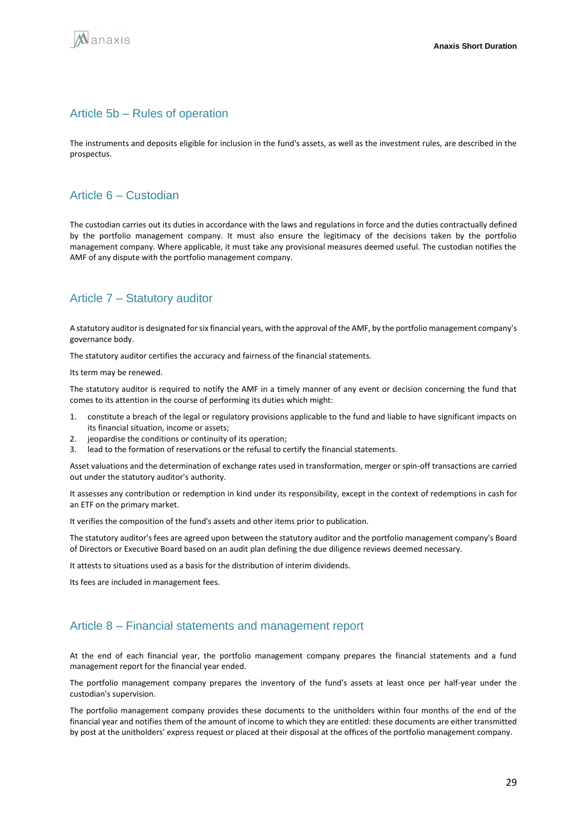

### Article 5b – Rules of operation

The instruments and deposits eligible for inclusion in the fund's assets, as well as the investment rules, are described in the prospectus.

### Article 6 – Custodian

The custodian carries out its duties in accordance with the laws and regulations in force and the duties contractually defined by the portfolio management company. It must also ensure the legitimacy of the decisions taken by the portfolio management company. Where applicable, it must take any provisional measures deemed useful. The custodian notifies the AMF of any dispute with the portfolio management company.

## Article 7 – Statutory auditor

A statutory auditor is designated for six financial years, with the approval of the AMF, by the portfolio management company's governance body.

The statutory auditor certifies the accuracy and fairness of the financial statements.

Its term may be renewed.

The statutory auditor is required to notify the AMF in a timely manner of any event or decision concerning the fund that comes to its attention in the course of performing its duties which might:

- 1. constitute a breach of the legal or regulatory provisions applicable to the fund and liable to have significant impacts on its financial situation, income or assets;
- 2. jeopardise the conditions or continuity of its operation;
- 3. lead to the formation of reservations or the refusal to certify the financial statements.

Asset valuations and the determination of exchange rates used in transformation, merger or spin-off transactions are carried out under the statutory auditor's authority.

It assesses any contribution or redemption in kind under its responsibility, except in the context of redemptions in cash for an ETF on the primary market.

It verifies the composition of the fund's assets and other items prior to publication.

The statutory auditor's fees are agreed upon between the statutory auditor and the portfolio management company's Board of Directors or Executive Board based on an audit plan defining the due diligence reviews deemed necessary.

It attests to situations used as a basis for the distribution of interim dividends.

Its fees are included in management fees.

### Article 8 – Financial statements and management report

At the end of each financial year, the portfolio management company prepares the financial statements and a fund management report for the financial year ended.

The portfolio management company prepares the inventory of the fund's assets at least once per half-year under the custodian's supervision.

The portfolio management company provides these documents to the unitholders within four months of the end of the financial year and notifies them of the amount of income to which they are entitled: these documents are either transmitted by post at the unitholders' express request or placed at their disposal at the offices of the portfolio management company.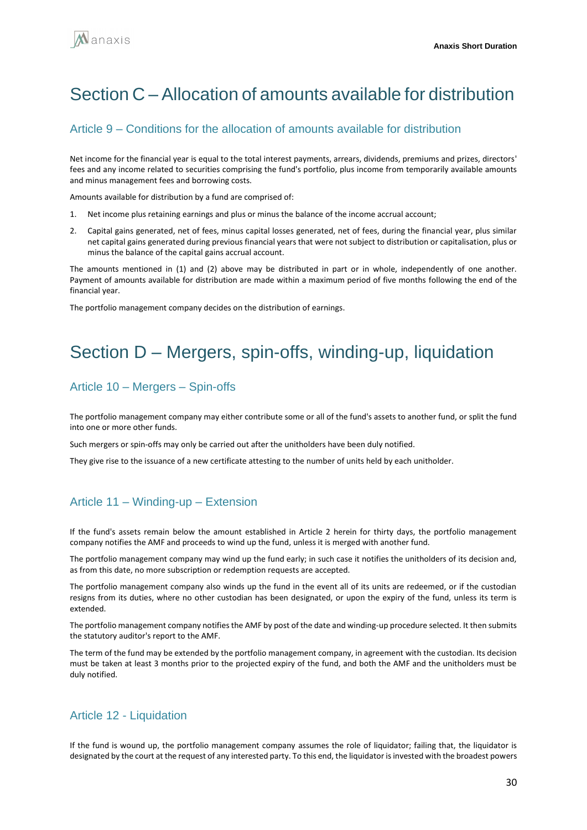# <span id="page-29-0"></span>Section C – Allocation of amounts available for distribution

### Article 9 – Conditions for the allocation of amounts available for distribution

Net income for the financial year is equal to the total interest payments, arrears, dividends, premiums and prizes, directors' fees and any income related to securities comprising the fund's portfolio, plus income from temporarily available amounts and minus management fees and borrowing costs.

Amounts available for distribution by a fund are comprised of:

- 1. Net income plus retaining earnings and plus or minus the balance of the income accrual account;
- 2. Capital gains generated, net of fees, minus capital losses generated, net of fees, during the financial year, plus similar net capital gains generated during previous financial years that were not subject to distribution or capitalisation, plus or minus the balance of the capital gains accrual account.

The amounts mentioned in (1) and (2) above may be distributed in part or in whole, independently of one another. Payment of amounts available for distribution are made within a maximum period of five months following the end of the financial year.

The portfolio management company decides on the distribution of earnings.

## <span id="page-29-1"></span>Section D – Mergers, spin-offs, winding-up, liquidation

### Article 10 – Mergers – Spin-offs

The portfolio management company may either contribute some or all of the fund's assets to another fund, or split the fund into one or more other funds.

Such mergers or spin-offs may only be carried out after the unitholders have been duly notified.

They give rise to the issuance of a new certificate attesting to the number of units held by each unitholder.

### Article 11 – Winding-up – Extension

If the fund's assets remain below the amount established in Article 2 herein for thirty days, the portfolio management company notifies the AMF and proceeds to wind up the fund, unless it is merged with another fund.

The portfolio management company may wind up the fund early; in such case it notifies the unitholders of its decision and, as from this date, no more subscription or redemption requests are accepted.

The portfolio management company also winds up the fund in the event all of its units are redeemed, or if the custodian resigns from its duties, where no other custodian has been designated, or upon the expiry of the fund, unless its term is extended.

The portfolio management company notifies the AMF by post of the date and winding-up procedure selected. It then submits the statutory auditor's report to the AMF.

The term of the fund may be extended by the portfolio management company, in agreement with the custodian. Its decision must be taken at least 3 months prior to the projected expiry of the fund, and both the AMF and the unitholders must be duly notified.

### Article 12 - Liquidation

If the fund is wound up, the portfolio management company assumes the role of liquidator; failing that, the liquidator is designated by the court at the request of any interested party. To this end, the liquidator is invested with the broadest powers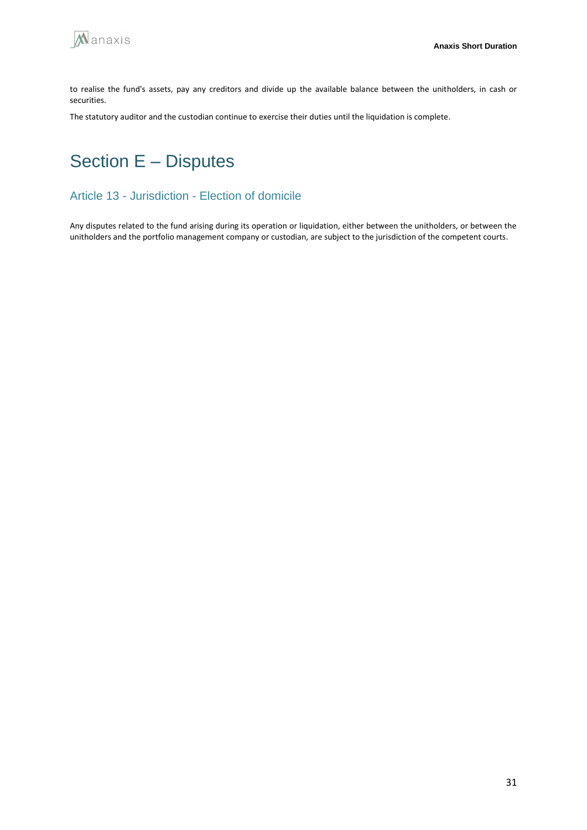

to realise the fund's assets, pay any creditors and divide up the available balance between the unitholders, in cash or securities.

The statutory auditor and the custodian continue to exercise their duties until the liquidation is complete.

# <span id="page-30-0"></span>Section E – Disputes

### Article 13 - Jurisdiction - Election of domicile

Any disputes related to the fund arising during its operation or liquidation, either between the unitholders, or between the unitholders and the portfolio management company or custodian, are subject to the jurisdiction of the competent courts.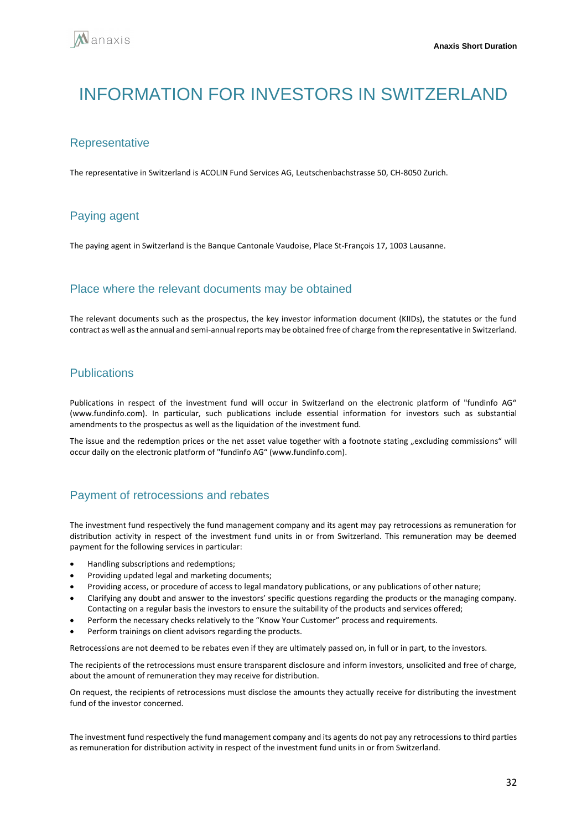# <span id="page-31-0"></span>INFORMATION FOR INVESTORS IN SWITZERI AND

### **Representative**

The representative in Switzerland is ACOLIN Fund Services AG, Leutschenbachstrasse 50, CH-8050 Zurich.

## Paying agent

The paying agent in Switzerland is the Banque Cantonale Vaudoise, Place St-François 17, 1003 Lausanne.

### Place where the relevant documents may be obtained

The relevant documents such as the prospectus, the key investor information document (KIIDs), the statutes or the fund contract as well as the annual and semi-annual reports may be obtained free of charge from the representative in Switzerland.

## **Publications**

Publications in respect of the investment fund will occur in Switzerland on the electronic platform of "fundinfo AG" (www.fundinfo.com). In particular, such publications include essential information for investors such as substantial amendments to the prospectus as well as the liquidation of the investment fund.

The issue and the redemption prices or the net asset value together with a footnote stating "excluding commissions" will occur daily on the electronic platform of "fundinfo AG" (www.fundinfo.com).

## Payment of retrocessions and rebates

The investment fund respectively the fund management company and its agent may pay retrocessions as remuneration for distribution activity in respect of the investment fund units in or from Switzerland. This remuneration may be deemed payment for the following services in particular:

- Handling subscriptions and redemptions;
- Providing updated legal and marketing documents;
- Providing access, or procedure of access to legal mandatory publications, or any publications of other nature;
- Clarifying any doubt and answer to the investors' specific questions regarding the products or the managing company. Contacting on a regular basis the investors to ensure the suitability of the products and services offered;
- Perform the necessary checks relatively to the "Know Your Customer" process and requirements.
- Perform trainings on client advisors regarding the products.

Retrocessions are not deemed to be rebates even if they are ultimately passed on, in full or in part, to the investors.

The recipients of the retrocessions must ensure transparent disclosure and inform investors, unsolicited and free of charge, about the amount of remuneration they may receive for distribution.

On request, the recipients of retrocessions must disclose the amounts they actually receive for distributing the investment fund of the investor concerned.

The investment fund respectively the fund management company and its agents do not pay any retrocessions to third parties as remuneration for distribution activity in respect of the investment fund units in or from Switzerland.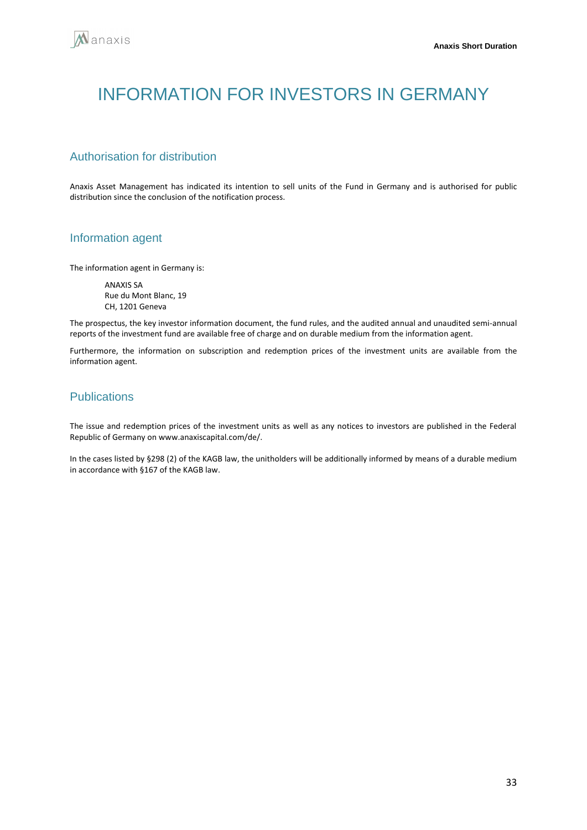# <span id="page-32-0"></span>INFORMATION FOR INVESTORS IN GERMANY

## Authorisation for distribution

Anaxis Asset Management has indicated its intention to sell units of the Fund in Germany and is authorised for public distribution since the conclusion of the notification process.

### Information agent

The information agent in Germany is:

ANAXIS SA Rue du Mont Blanc, 19 CH, 1201 Geneva

The prospectus, the key investor information document, the fund rules, and the audited annual and unaudited semi-annual reports of the investment fund are available free of charge and on durable medium from the information agent.

Furthermore, the information on subscription and redemption prices of the investment units are available from the information agent.

## Publications

The issue and redemption prices of the investment units as well as any notices to investors are published in the Federal Republic of Germany on www.anaxiscapital.com/de/.

In the cases listed by §298 (2) of the KAGB law, the unitholders will be additionally informed by means of a durable medium in accordance with §167 of the KAGB law.